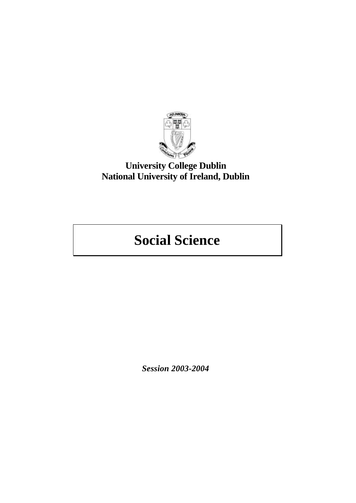

## **University College Dublin National University of Ireland, Dublin**

# **Social Science**

*Session 2003-2004*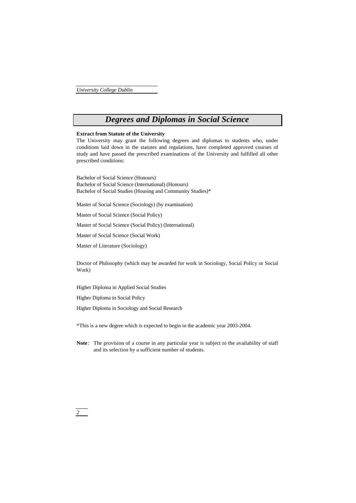## *Degrees and Diplomas in Social Science*

## **Extract from Statute of the University**

The University may grant the following degrees and diplomas to students who, under conditions laid down in the statutes and regulations, have completed approved courses of study and have passed the prescribed examinations of the University and fulfilled all other prescribed conditions:

Bachelor of Social Science (Honours) Bachelor of Social Science (International) (Honours) Bachelor of Social Studies (Housing and Community Studies)\*

Master of Social Science (Sociology) (by examination)

Master of Social Science (Social Policy)

Master of Social Science (Social Policy) (International)

Master of Social Science (Social Work)

Master of Literature (Sociology)

Doctor of Philosophy (which may be awarded for work in Sociology, Social Policy or Social Work)

Higher Diploma in Applied Social Studies

Higher Diploma in Social Policy

Higher Diploma in Sociology and Social Research

\*This is a new degree which is expected to begin in the academic year 2003-2004.

**Note**: The provision of a course in any particular year is subject to the availability of staff and its selection by a sufficient number of students.

*2*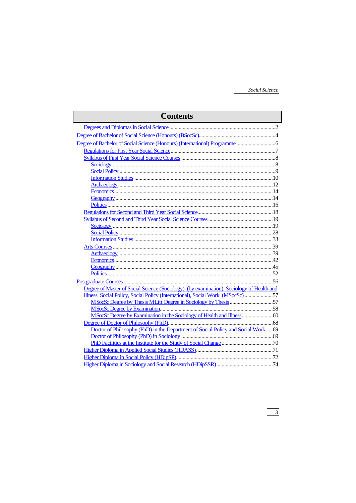| Degree of Master of Social Science (Sociology) (by examination), Sociology of Health and<br>Illness, Social Policy, Social Policy (International), Social Work, (MSocSc) 57<br>Doctor of Philosophy (PhD) in the Department of Social Policy and Social Work69 | <b>Contents</b> |  |
|----------------------------------------------------------------------------------------------------------------------------------------------------------------------------------------------------------------------------------------------------------------|-----------------|--|
|                                                                                                                                                                                                                                                                |                 |  |
|                                                                                                                                                                                                                                                                |                 |  |
|                                                                                                                                                                                                                                                                |                 |  |
|                                                                                                                                                                                                                                                                |                 |  |
|                                                                                                                                                                                                                                                                |                 |  |
|                                                                                                                                                                                                                                                                |                 |  |
|                                                                                                                                                                                                                                                                |                 |  |
|                                                                                                                                                                                                                                                                |                 |  |
|                                                                                                                                                                                                                                                                |                 |  |
|                                                                                                                                                                                                                                                                |                 |  |
|                                                                                                                                                                                                                                                                |                 |  |
|                                                                                                                                                                                                                                                                |                 |  |
|                                                                                                                                                                                                                                                                |                 |  |
|                                                                                                                                                                                                                                                                |                 |  |
|                                                                                                                                                                                                                                                                |                 |  |
|                                                                                                                                                                                                                                                                |                 |  |
|                                                                                                                                                                                                                                                                |                 |  |
|                                                                                                                                                                                                                                                                |                 |  |
|                                                                                                                                                                                                                                                                |                 |  |
|                                                                                                                                                                                                                                                                |                 |  |
|                                                                                                                                                                                                                                                                |                 |  |
|                                                                                                                                                                                                                                                                |                 |  |
|                                                                                                                                                                                                                                                                |                 |  |
|                                                                                                                                                                                                                                                                |                 |  |
|                                                                                                                                                                                                                                                                |                 |  |
|                                                                                                                                                                                                                                                                |                 |  |
|                                                                                                                                                                                                                                                                |                 |  |
|                                                                                                                                                                                                                                                                |                 |  |
|                                                                                                                                                                                                                                                                |                 |  |
|                                                                                                                                                                                                                                                                |                 |  |
|                                                                                                                                                                                                                                                                |                 |  |
|                                                                                                                                                                                                                                                                |                 |  |
| Higher Diploma in Sociology and Social Research (HDipSSR) 32 24                                                                                                                                                                                                |                 |  |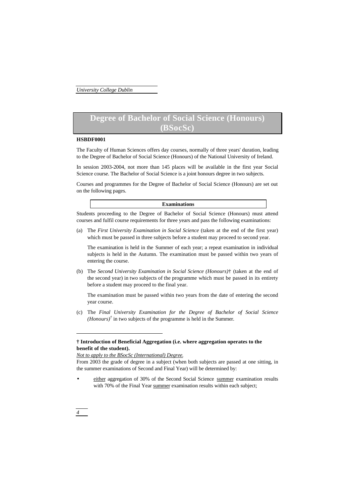## **Degree of Bachelor of Social Science (Honours) (BSocSc)**

### **HSBDF0001**

The Faculty of Human Sciences offers day courses, normally of three years' duration, leading to the Degree of Bachelor of Social Science (Honours) of the National University of Ireland.

In session 2003-2004, not more than 145 places will be available in the first year Social Science course. The Bachelor of Social Science is a joint honours degree in two subjects.

Courses and programmes for the Degree of Bachelor of Social Science (Honours) are set out on the following pages.

### **Examinations**

Students proceeding to the Degree of Bachelor of Social Science (Honours) must attend courses and fulfil course requirements for three years and pass the following examinations:

(a) The *First University Examination in Social Science* (taken at the end of the first year) which must be passed in three subjects before a student may proceed to second year.

The examination is held in the Summer of each year; a repeat examination in individual subjects is held in the Autumn. The examination must be passed within two years of entering the course.

(b) The *Second University Examination in Social Science (Honours)*† (taken at the end of the second year) in two subjects of the programme which must be passed in its entirety before a student may proceed to the final year.

The examination must be passed within two years from the date of entering the second year course.

(c) The *Final University Examination for the Degree of Bachelor of Social Science (Honours)<sup>†</sup>* in two subjects of the programme is held in the Summer.

## **† Introduction of Beneficial Aggregation (i.e. where aggregation operates to the benefit of the student).**

*Not to apply to the BSocSc (International) Degree.*

From 2003 the grade of degree in a subject (when both subjects are passed at one sitting, in the summer examinations of Second and Final Year) will be determined by:

either aggregation of 30% of the Second Social Science summer examination results with 70% of the Final Year summer examination results within each subject;

## *4*

j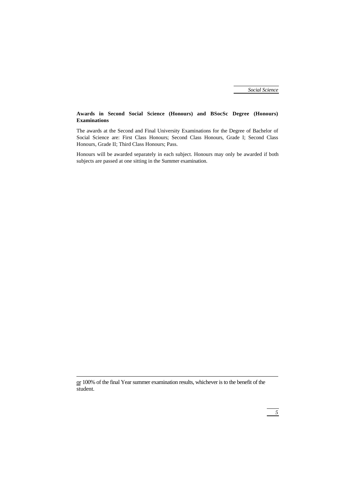## **Awards in Second Social Science (Honours) and BSocSc Degree (Honours) Examinations**

The awards at the Second and Final University Examinations for the Degree of Bachelor of Social Science are: First Class Honours; Second Class Honours, Grade I; Second Class Honours, Grade II; Third Class Honours; Pass.

Honours will be awarded separately in each subject. Honours may only be awarded if both subjects are passed at one sitting in the Summer examination.

j

or 100% of the final Year summer examination results, whichever is to the benefit of the student.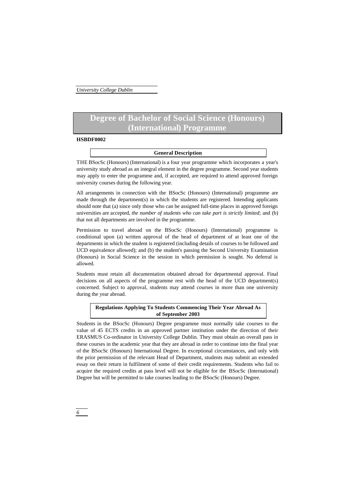## **Degree of Bachelor of Social Science (Honours) (International) Programme**

### **HSBDF0002**

## **General Description**

THE BSocSc (Honours) (International) is a four year programme which incorporates a year's university study abroad as an integral element in the degree programme. Second year students may apply to enter the programme and, if accepted, are required to attend approved foreign university courses during the following year.

All arrangements in connection with the BSocSc (Honours) (International) programme are made through the department(s) in which the students are registered. Intending applicants should note that (a) since only those who can be assigned full-time places in approved foreign universities are accepted, *the number of students who can take part is strictly limited*; and (b) that not all departments are involved in the programme.

Permission to travel abroad on the BSocSc (Honours) (International) programme is conditional upon (a) written approval of the head of department of at least one of the departments in which the student is registered (including details of courses to be followed and UCD equivalence allowed); and (b) the student's passing the Second University Examination (Honours) in Social Science in the session in which permission is sought. No deferral is allowed.

Students must retain all documentation obtained abroad for departmental approval. Final decisions on all aspects of the programme rest with the head of the UCD department(s) concerned. Subject to approval, students may attend courses in more than one university during the year abroad.

## **Regulations Applying To Students Commencing Their Year Abroad As of September 2003**

Students in the BSocSc (Honours) Degree programme must normally take courses to the value of 45 ECTS credits in an approved partner institution under the direction of their ERASMUS Co-ordinator in University College Dublin. They must obtain an overall pass in these courses in the academic year that they are abroad in order to continue into the final year of the BSocSc (Honours) International Degree. In exceptional circumstances, and only with the prior permission of the relevant Head of Department, students may submit an extended essay on their return in fulfilment of some of their credit requirements. Students who fail to acquire the required credits at pass level will not be eligible for the BSocSc (International) Degree but will be permitted to take courses leading to the BSocSc (Honours) Degree.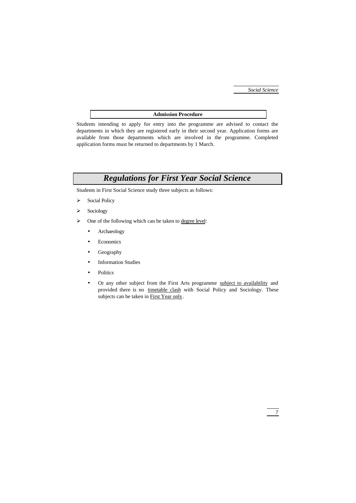## **Admission Procedure**

Students intending to apply for entry into the programme are advised to contact the departments in which they are registered early in their second year. Application forms are available from those departments which are involved in the programme. Completed application forms must be returned to departments by 1 March.

## *Regulations for First Year Social Science*

Students in First Social Science study three subjects as follows:

- > Social Policy
- $\triangleright$  Sociology
- One of the following which can be taken to degree level:
	- Archaeology
	- **Economics**
	- Geography
	- **Information Studies**
	- **Politics**
	- Or any other subject from the First Arts programme subject to availability and provided there is no timetable clash with Social Policy and Sociology. These subjects can be taken in First Year only.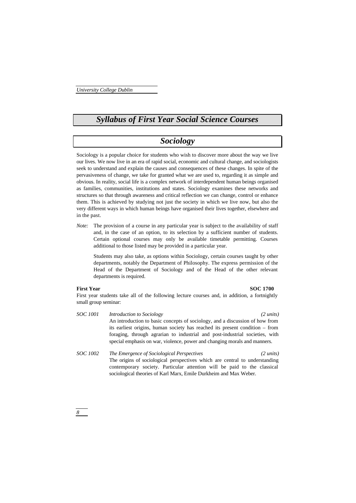## *Syllabus of First Year Social Science Courses*

## *Sociology*

Sociology is a popular choice for students who wish to discover more about the way we live our lives. We now live in an era of rapid social, economic and cultural change, and sociologists seek to understand and explain the causes and consequences of these changes. In spite of the pervasiveness of change, we take for granted what we are used to, regarding it as simple and obvious. In reality, social life is a complex network of interdependent human beings organised as families, communities, institutions and states. Sociology examines these networks and structures so that through awareness and critical reflection we can change, control or enhance them. This is achieved by studying not just the society in which we live now, but also the very different ways in which human beings have organised their lives together, elsewhere and in the past.

*Note:* The provision of a course in any particular year is subject to the availability of staff and, in the case of an option, to its selection by a sufficient number of students. Certain optional courses may only be available timetable permitting. Courses additional to those listed may be provided in a particular year.

Students may also take, as options within Sociology, certain courses taught by other departments, notably the Department of Philosophy. The express permission of the Head of the Department of Sociology and of the Head of the other relevant departments is required.

### **First Year SOC 1700**

First year students take all of the following lecture courses and, in addition, a fortnightly small group seminar:

- *SOC 1001 Introduction to Sociology (2 units)* An introduction to basic concepts of sociology, and a discussion of how from its earliest origins, human society has reached its present condition – from foraging, through agrarian to industrial and post-industrial societies, with special emphasis on war, violence, power and changing morals and manners.
- *SOC 1002 The Emergence of Sociological Perspectives (2 units)* The origins of sociological perspectives which are central to understanding contemporary society. Particular attention will be paid to the classical sociological theories of Karl Marx, Emile Durkheim and Max Weber.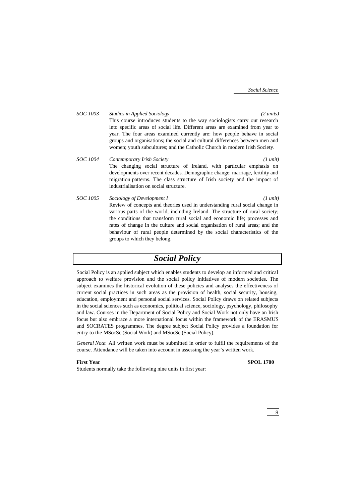*SOC 1003 Studies in Applied Sociology (2 units)* This course introduces students to the way sociologists carry out research into specific areas of social life. Different areas are examined from year to year. The four areas examined currently are: how people behave in social groups and organisations; the social and cultural differences between men and women; youth subcultures; and the Catholic Church in modern Irish Society. *SOC 1004 Contemporary Irish Society (1 unit)* The changing social structure of Ireland, with particular emphasis on

developments over recent decades. Demographic change: marriage, fertility and migration patterns. The class structure of Irish society and the impact of industrialisation on social structure.

*SOC 1005 Sociology of Development I (1 unit)* Review of concepts and theories used in understanding rural social change in various parts of the world, including Ireland. The structure of rural society; the conditions that transform rural social and economic life; processes and rates of change in the culture and social organisation of rural areas; and the behaviour of rural people determined by the social characteristics of the groups to which they belong.

## *Social Policy*

Social Policy is an applied subject which enables students to develop an informed and critical approach to welfare provision and the social policy initiatives of modern societies. The subject examines the historical evolution of these policies and analyses the effectiveness of current social practices in such areas as the provision of health, social security, housing, education, employment and personal social services. Social Policy draws on related subjects in the social sciences such as economics, political science, sociology, psychology, philosophy and law. Courses in the Department of Social Policy and Social Work not only have an Irish focus but also embrace a more international focus within the framework of the ERASMUS and SOCRATES programmes. The degree subject Social Policy provides a foundation for entry to the MSocSc (Social Work) and MSocSc (Social Policy).

*General Note*: All written work must be submitted in order to fulfil the requirements of the course. Attendance will be taken into account in assessing the year's written work.

Students normally take the following nine units in first year:

### **First Year SPOL 1700**

## *9*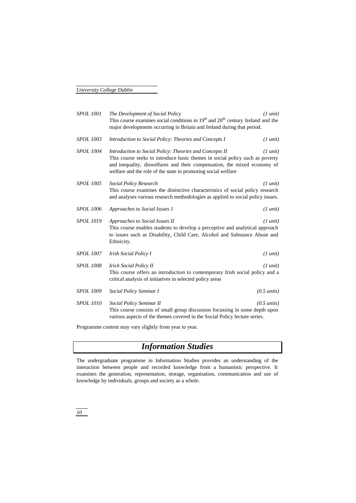| <b>SPOL 1001</b> | The Development of Social Policy<br>This course examines social conditions in $19th$ and $20th$ century Ireland and the<br>major developments occurring in Britain and Ireland during that period.                                                                                   | $(1 \text{ unit})$    |
|------------------|--------------------------------------------------------------------------------------------------------------------------------------------------------------------------------------------------------------------------------------------------------------------------------------|-----------------------|
| <b>SPOL 1003</b> | Introduction to Social Policy: Theories and Concepts I                                                                                                                                                                                                                               | $(1 \text{ unit})$    |
| SPOL 1004        | Introduction to Social Policy: Theories and Concepts II<br>This course seeks to introduce basic themes in social policy such as poverty<br>and inequality, diswelfares and their compensation, the mixed economy of<br>welfare and the role of the state in promoting social welfare | $(1 \text{ unit})$    |
| <b>SPOL 1005</b> | Social Policy Research<br>This course examines the distinctive characteristics of social policy research<br>and analyses various research methodologies as applied to social policy issues.                                                                                          | $(1 \text{ unit})$    |
| <b>SPOL 1006</b> | Approaches to Social Issues 1                                                                                                                                                                                                                                                        | $(1 \text{ unit})$    |
| <b>SPOL 1019</b> | Approaches to Social Issues II<br>This course enables students to develop a perceptive and analytical approach<br>to issues such as Disability, Child Care, Alcohol and Substance Abuse and<br>Ethnicity.                                                                            | $(1 \text{ unit})$    |
| <b>SPOL 1007</b> | <i>Irish Social Policy I</i>                                                                                                                                                                                                                                                         | $(1 \text{ unit})$    |
| <b>SPOL 1008</b> | <b>Irish Social Policy II</b><br>This course offers an introduction to contemporary Irish social policy and a<br>critical analysis of initiatives in selected policy areas                                                                                                           | $(1 \text{ unit})$    |
| <b>SPOL 1009</b> | Social Policy Seminar I                                                                                                                                                                                                                                                              | $(0.5 \text{ units})$ |
| <b>SPOL 1010</b> | Social Policy Seminar II<br>This course consists of small group discussion focussing in some depth upon<br>various aspects of the themes covered in the Social Policy lecture series.                                                                                                | $(0.5 \text{ units})$ |

Programme content may vary slightly from year to year.

## *Information Studies*

The undergraduate programme in Information Studies provides an understanding of the interaction between people and recorded knowledge from a humanistic perspective. It examines the generation, representation, storage, organisation, communication and use of knowledge by individuals, groups and society as a whole.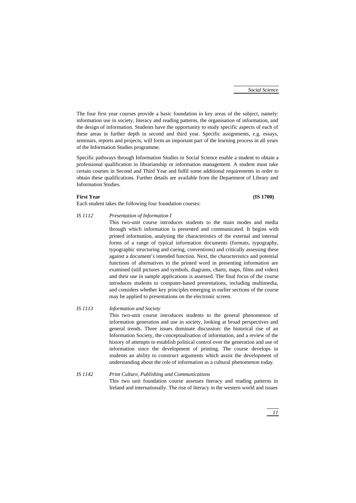The four first year courses provide a basic foundation in key areas of the subject, namely: information use in society, literacy and reading patterns, the organisation of information, and the design of information. Students have the opportunity to study specific aspects of each of these areas in further depth in second and third year. Specific assignments, e.g. essays, seminars, reports and projects, will form an important part of the learning process in all years of the Information Studies programme.

Specific pathways through Information Studies in Social Science enable a student to obtain a professional qualification in librarianship or information management. A student must take certain courses in Second and Third Year and fulfil some additional requirements in order to obtain these qualifications. Further details are available from the Department of Library and Information Studies.

### **First Year (IS 1700)**

Each student takes the following four foundation courses:

### *IS 1112 Presentation of Information I*

This two-unit course introduces students to the main modes and media through which information is presented and communicated. It begins with printed information, analysing the characteristics of the external and internal forms of a range of typical information documents (formats, typography, typographic structuring and cueing, conventions) and critically assessing these against a document's intended function. Next, the characteristics and potential functions of alternatives to the printed word in presenting information are examined (still pictures and symbols, diagrams, charts, maps, films and video) and their use in sample applications is assessed. The final focus of the course introduces students to computer-based presentations, including multimedia, and considers whether key principles emerging in earlier sections of the course may be applied to presentations on the electronic screen.

## *IS 1113 Information and Society*

This two-unit course introduces students to the general phenomenon of information generation and use in society, looking at broad perspectives and general trends. Three issues dominate discussion: the historical rise of an Information Society, the conceptualisation of information, and a review of the history of attempts to establish political control over the generation and use of information since the development of printing. The course develops in students an ability to construct arguments which assist the development of understanding about the role of information as a cultural phenomenon today.

## *IS 1142 Print Culture, Publishing and Communications* This two unit foundation course assesses literacy and reading patterns in Ireland and internationally. The rise of literacy in the western world and issues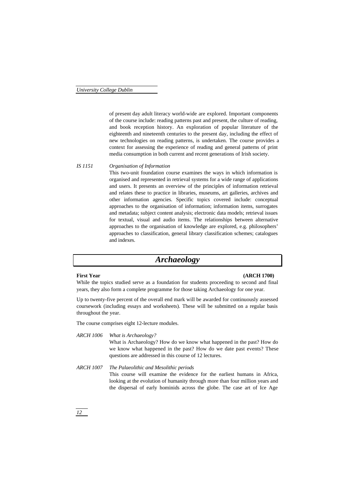of present day adult literacy world-wide are explored. Important components of the course include: reading patterns past and present, the culture of reading, and book reception history. An exploration of popular literature of the eighteenth and nineteenth centuries to the present day, including the effect of new technologies on reading patterns, is undertaken. The course provides a context for assessing the experience of reading and general patterns of print media consumption in both current and recent generations of Irish society.

## *IS 1151 Organisation of Information*

This two-unit foundation course examines the ways in which information is organised and represented in retrieval systems for a wide range of applications and users. It presents an overview of the principles of information retrieval and relates these to practice in libraries, museums, art galleries, archives and other information agencies. Specific topics covered include: conceptual approaches to the organisation of information; information items, surrogates and metadata; subject content analysis; electronic data models; retrieval issues for textual, visual and audio items. The relationships between alternative approaches to the organisation of knowledge are explored, e.g. philosophers' approaches to classification, general library classification schemes; catalogues and indexes.

## *Archaeology*

### **First Year (ARCH 1700)**

While the topics studied serve as a foundation for students proceeding to second and final years, they also form a complete programme for those taking Archaeology for one year.

Up to twenty-five percent of the overall end mark will be awarded for continuously assessed coursework (including essays and worksheets). These will be submitted on a regular basis throughout the year.

The course comprises eight 12-lecture modules.

*ARCH 1006 What is Archaeology?* What is Archaeology? How do we know what happened in the past? How do we know what happened in the past? How do we date past events? These questions are addressed in this course of 12 lectures.

*ARCH 1007 The Palaeolithic and Mesolithic periods* This course will examine the evidence for the earliest humans in Africa, looking at the evolution of humanity through more than four million years and the dispersal of early hominids across the globe. The case art of Ice Age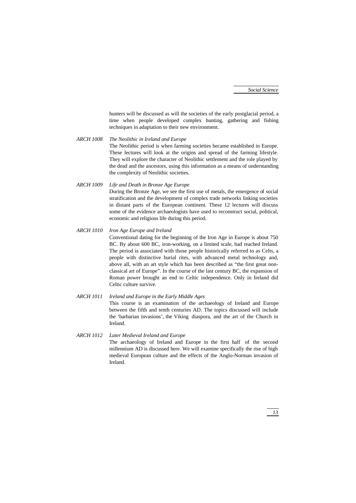hunters will be discussed as will the societies of the early postglacial period, a time when people developed complex hunting, gathering and fishing techniques in adaptation to their new environment.

*ARCH 1008 The Neolithic in Ireland and Europe* The Neolithic period is when farming societies became established in Europe. These lectures will look at the origins and spread of the farming lifestyle. They will explore the character of Neolithic settlement and the role played by the dead and the ancestors, using this information as a means of understanding the complexity of Neolithic societies.

*ARCH 1009 Life and Death in Bronze Age Europe* During the Bronze Age, we see the first use of metals, the emergence of social stratification and the development of complex trade networks linking societies in distant parts of the European continent. These 12 lectures will discuss some of the evidence archaeologists have used to reconstruct social, political, economic and religious life during this period.

## *ARCH 1010 Iron Age Europe and Ireland*

Conventional dating for the beginning of the Iron Age in Europe is about 750 BC. By about 600 BC, iron-working, on a limited scale, had reached Ireland. The period is associated with those people historically referred to as Celts, a people with distinctive burial rites, with advanced metal technology and, above all, with an art style which has been described as "the first great nonclassical art of Europe". In the course of the last century BC, the expansion of Roman power brought an end to Celtic independence. Only in Ireland did Celtic culture survive.

## *ARCH 1011 Ireland and Europe in the Early Middle Ages* This course is an examination of the archaeology of Ireland and Europe between the fifth and tenth centuries AD. The topics discussed will include the 'barbarian invasions', the Viking diaspora, and the art of the Church in Ireland.

*ARCH 1012 Later Medieval Ireland and Europe* The archaeology of Ireland and Europe in the first half of the second millennium AD is discussed here. We will examine specifically the rise of high medieval European culture and the effects of the Anglo-Norman invasion of Ireland.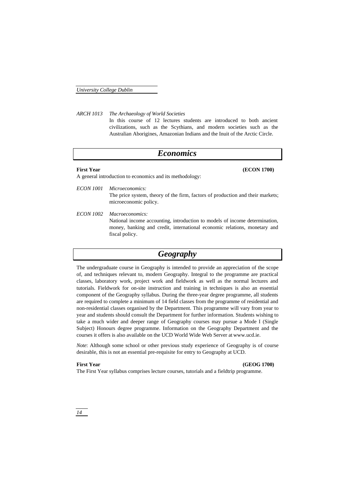*ARCH 1013 The Archaeology of World Societies*

In this course of 12 lectures students are introduced to both ancient civilizations, such as the Scythians, and modern societies such as the Australian Aborigines, Amazonian Indians and the Inuit of the Arctic Circle.

## *Economics*

**First Year (ECON 1700)**

A general introduction to economics and its methodology:

- *ECON 1001 Microeconomics:* The price system, theory of the firm, factors of production and their markets; microeconomic policy.
- *ECON 1002 Macroeconomics:* National income accounting, introduction to models of income determination, money, banking and credit, international economic relations, monetary and fiscal policy.

## *Geography*

The undergraduate course in Geography is intended to provide an appreciation of the scope of, and techniques relevant to, modern Geography. Integral to the programme are practical classes, laboratory work, project work and fieldwork as well as the normal lectures and tutorials. Fieldwork for on-site instruction and training in techniques is also an essential component of the Geography syllabus. During the three-year degree programme, all students are required to complete a minimum of 14 field classes from the programme of residential and non-residential classes organised by the Department. This programme will vary from year to year and students should consult the Department for further information. Students wishing to take a much wider and deeper range of Geography courses may pursue a Mode I (Single Subject) Honours degree programme. Information on the Geography Department and the courses it offers is also available on the UCD World Wide Web Server at www.ucd.ie.

*Note*: Although some school or other previous study experience of Geography is of course desirable, this is not an essential pre-requisite for entry to Geography at UCD.

**First Year (GEOG 1700)**

The First Year syllabus comprises lecture courses, tutorials and a fieldtrip programme.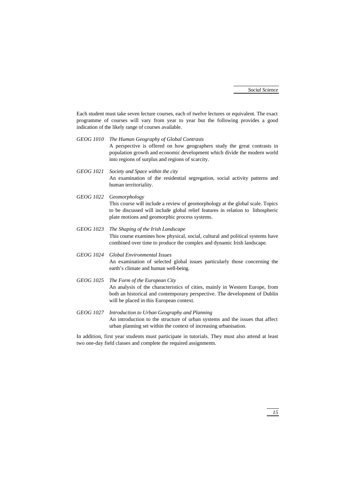Each student must take seven lecture courses, each of twelve lectures or equivalent. The exact programme of courses will vary from year to year but the following provides a good indication of the likely range of courses available.

- *GEOG 1010 The Human Geography of Global Contrasts* A perspective is offered on how geographers study the great contrasts in population growth and economic development which divide the modern world into regions of surplus and regions of scarcity.
- *GEOG 1021 Society and Space within the city* An examination of the residential segregation, social activity patterns and human territoriality.
- *GEOG 1022 Geomorphology* This course will include a review of geomorphology at the global scale. Topics to be discussed will include global relief features in relation to lithospheric plate motions and geomorphic process systems.
- *GEOG 1023 The Shaping of the Irish Landscape* This course examines how physical, social, cultural and political systems have combined over time to produce the complex and dynamic Irish landscape.

*GEOG 1024 Global Environmental Issues* An examination of selected global issues particularly those concerning the earth's climate and human well-being.

- *GEOG 1025 The Form of the European City* An analysis of the characteristics of cities, mainly in Western Europe, from both an historical and contemporary perspective. The development of Dublin will be placed in this European context.
- *GEOG 1027 Introduction to Urban Geography and Planning* An introduction to the structure of urban systems and the issues that affect urban planning set within the context of increasing urbanisation.

In addition, first year students must participate in tutorials. They must also attend at least two one-day field classes and complete the required assignments.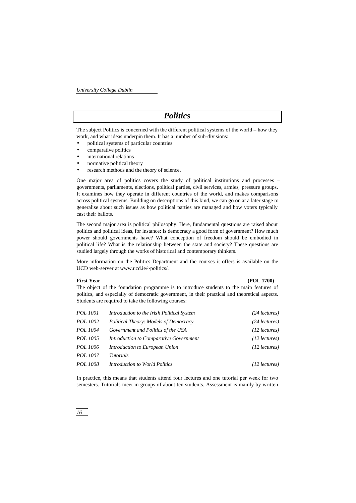## *Politics*

The subject Politics is concerned with the different political systems of the world – how they work, and what ideas underpin them. It has a number of sub-divisions:

- political systems of particular countries
- comparative politics
- international relations
- normative political theory
- research methods and the theory of science.

One major area of politics covers the study of political institutions and processes – governments, parliaments, elections, political parties, civil services, armies, pressure groups. It examines how they operate in different countries of the world, and makes comparisons across political systems. Building on descriptions of this kind, we can go on at a later stage to generalise about such issues as how political parties are managed and how voters typically cast their ballots.

The second major area is political philosophy. Here, fundamental questions are raised about politics and political ideas, for instance: Is democracy a good form of government? How much power should governments have? What conception of freedom should be embodied in political life? What is the relationship between the state and society? These questions are studied largely through the works of historical and contemporary thinkers.

More information on the Politics Department and the courses it offers is available on the UCD web-server at www.ucd.ie/~politics/.

## **First Year (POL 1700)**

The object of the foundation programme is to introduce students to the main features of politics, and especially of democratic government, in their practical and theoretical aspects. Students are required to take the following courses:

| <i>POL 1001</i> | Introduction to the Irish Political System | $(24$ lectures) |
|-----------------|--------------------------------------------|-----------------|
| POL 1002        | Political Theory: Models of Democracy      | $(24$ lectures) |
| <i>POL 1004</i> | Government and Politics of the USA         | $(12$ lectures) |
| <i>POL 1005</i> | Introduction to Comparative Government     | $(12$ lectures) |
| <i>POL 1006</i> | Introduction to European Union             | $(12$ lectures) |
| POL 1007        | <i>Tutorials</i>                           |                 |
| <i>POL 1008</i> | <i>Introduction to World Politics</i>      | $(12$ lectures) |
|                 |                                            |                 |

In practice, this means that students attend four lectures and one tutorial per week for two semesters. Tutorials meet in groups of about ten students. Assessment is mainly by written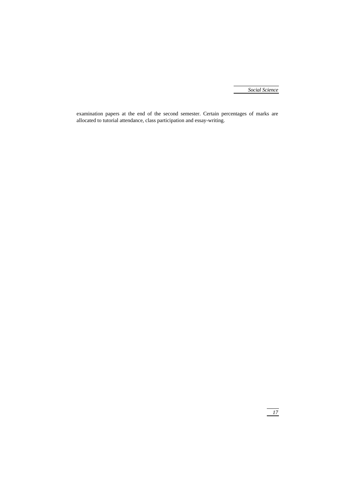examination papers at the end of the second semester. Certain percentages of marks are allocated to tutorial attendance, class participation and essay-writing.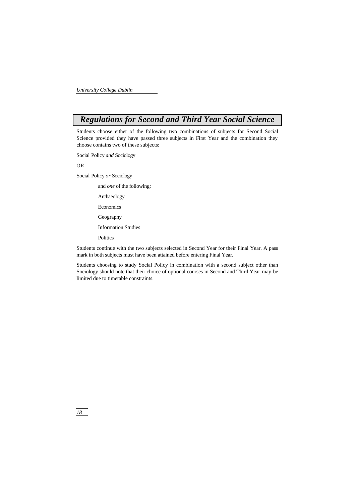## *Regulations for Second and Third Year Social Science*

Students choose either of the following two combinations of subjects for Second Social Science provided they have passed three subjects in First Year and the combination they choose contains two of these subjects:

Social Policy *and* Sociology

OR

Social Policy *or* Sociology

and *one* of the following:

Archaeology

Economics

Geography

Information Studies

Politics

Students continue with the two subjects selected in Second Year for their Final Year. A pass mark in both subjects must have been attained before entering Final Year.

Students choosing to study Social Policy in combination with a second subject other than Sociology should note that their choice of optional courses in Second and Third Year may be limited due to timetable constraints.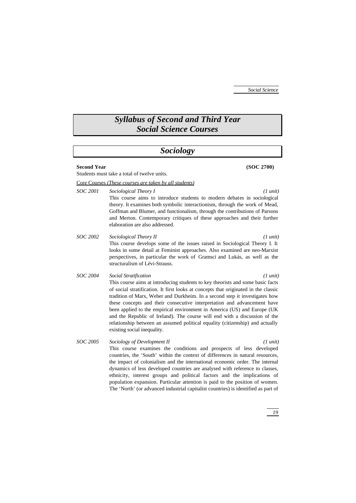## *Syllabus of Second and Third Year Social Science Courses*

## *Sociology*

### **Second Year (SOC 2700)**

Students must take a total of twelve units.

Core Courses *(These courses are taken by all students)*

*SOC 2001 Sociological Theory I (1 unit)*

This course aims to introduce students to modern debates in sociological theory. It examines both symbolic interactionism, through the work of Mead, Goffman and Blumer, and functionalism, through the contributions of Parsons and Merton. Contemporary critiques of these approaches and their further elaboration are also addressed.

*SOC 2002 Sociological Theory II (1 unit)* This course develops some of the issues raised in Sociological Theory I. It looks in some detail at Feminist approaches. Also examined are neo-Marxist perspectives, in particular the work of Gramsci and Lukás, as well as the structuralism of Lévi-Strauss.

*SOC 2004 Social Stratification (1 unit)* This course aims at introducing students to key theorists and some basic facts of social stratification. It first looks at concepts that originated in the classic tradition of Marx, Weber and Durkheim. In a second step it investigates how these concepts and their consecutive interpretation and advancement have been applied to the empirical environment in America (US) and Europe (UK and the Republic of Ireland). The course will end with a discussion of the relationship between an assumed political equality (citizenship) and actually existing social inequality.

*SOC 2005 Sociology of Development II (1 unit)* This course examines the conditions and prospects of less developed countries, the 'South' within the context of differences in natural resources, the impact of colonialism and the international economic order. The internal dynamics of less developed countries are analysed with reference to classes, ethnicity, interest groups and political factors and the implications of population expansion. Particular attention is paid to the position of women. The 'North' (or advanced industrial capitalist countries) is identified as part of

*19*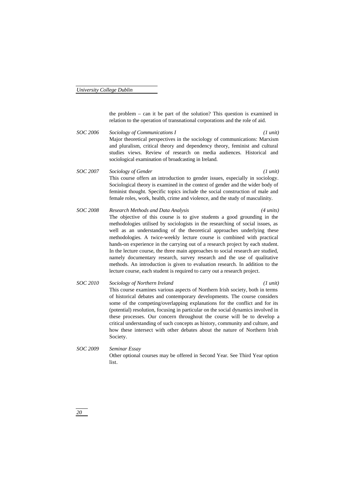the problem – can it be part of the solution? This question is examined in relation to the operation of transnational corporations and the role of aid.

- *SOC 2006 Sociology of Communications I (1 unit)* Major theoretical perspectives in the sociology of communications: Marxism and pluralism, critical theory and dependency theory, feminist and cultural studies views. Review of research on media audiences. Historical and sociological examination of broadcasting in Ireland.
- *SOC 2007 Sociology of Gender (1 unit)* This course offers an introduction to gender issues, especially in sociology. Sociological theory is examined in the context of gender and the wider body of feminist thought. Specific topics include the social construction of male and female roles, work, health, crime and violence, and the study of masculinity.
- *SOC 2008 Research Methods and Data Analysis (4 units)* The objective of this course is to give students a good grounding in the methodologies utilised by sociologists in the researching of social issues, as well as an understanding of the theoretical approaches underlying these methodologies. A twice-weekly lecture course is combined with practical hands-on experience in the carrying out of a research project by each student. In the lecture course, the three main approaches to social research are studied, namely documentary research, survey research and the use of qualitative methods. An introduction is given to evaluation research. In addition to the lecture course, each student is required to carry out a research project.
- *SOC 2010 Sociology of Northern Ireland (1 unit)* This course examines various aspects of Northern Irish society, both in terms of historical debates and contemporary developments. The course considers some of the competing/overlapping explanations for the conflict and for its (potential) resolution, focusing in particular on the social dynamics involved in these processes. Our concern throughout the course will be to develop a critical understanding of such concepts as history, community and culture, and how these intersect with other debates about the nature of Northern Irish Society.
- *SOC 2009 Seminar Essay* Other optional courses may be offered in Second Year. See Third Year option list.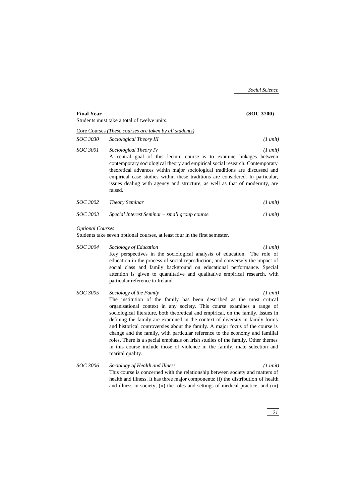| <b>Final Year</b>       |                                                                                                                                                                                                                                                                                                                                                                                                                                          | (SOC 3700)         |
|-------------------------|------------------------------------------------------------------------------------------------------------------------------------------------------------------------------------------------------------------------------------------------------------------------------------------------------------------------------------------------------------------------------------------------------------------------------------------|--------------------|
|                         | Students must take a total of twelve units.                                                                                                                                                                                                                                                                                                                                                                                              |                    |
|                         | Core Courses ( <i>These courses are taken by all students</i> )                                                                                                                                                                                                                                                                                                                                                                          |                    |
| SOC 3030                | Sociological Theory III                                                                                                                                                                                                                                                                                                                                                                                                                  | $(1 \text{ unit})$ |
| SOC 3001                | Sociological Theory IV<br>A central goal of this lecture course is to examine linkages between<br>contemporary sociological theory and empirical social research. Contemporary<br>theoretical advances within major sociological traditions are discussed and<br>empirical case studies within these traditions are considered. In particular,<br>issues dealing with agency and structure, as well as that of modernity, are<br>raised. | $(1 \text{ unit})$ |
| SOC 3002                | <b>Theory Seminar</b>                                                                                                                                                                                                                                                                                                                                                                                                                    | $(1 \text{ unit})$ |
| SOC 3003                | Special Interest Seminar – small group course                                                                                                                                                                                                                                                                                                                                                                                            | $(1 \text{ unit})$ |
| <b>Optional Courses</b> | Students take seven optional courses, at least four in the first semester.                                                                                                                                                                                                                                                                                                                                                               |                    |

- *SOC 3004 Sociology of Education (1 unit)* Key perspectives in the sociological analysis of education. The role of education in the process of social reproduction, and conversely the impact of social class and family background on educational performance. Special attention is given to quantitative and qualitative empirical research, with particular reference to Ireland.
- *SOC 3005 Sociology of the Family (1 unit)* The institution of the family has been described as the most critical organisational context in any society. This course examines a range of sociological literature, both theoretical and empirical, on the family. Issues in defining the family are examined in the context of diversity in family forms and historical controversies about the family. A major focus of the course is change and the family, with particular reference to the economy and familial roles. There is a special emphasis on Irish studies of the family. Other themes in this course include those of violence in the family, mate selection and marital quality.
- *SOC 3006 Sociology of Health and Illness (1 unit)* This course is concerned with the relationship between society and matters of health and illness. It has three major components: (i) the distribution of health and illness in society; (ii) the roles and settings of medical practice; and (iii)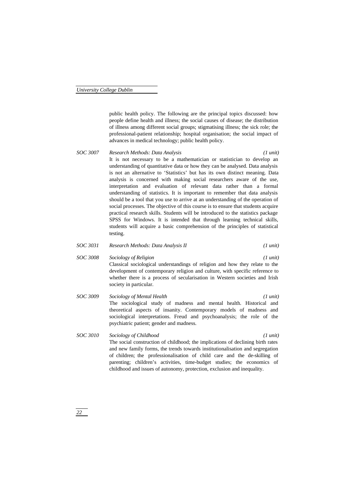public health policy. The following are the principal topics discussed: how people define health and illness; the social causes of disease; the distribution of illness among different social groups; stigmatising illness; the sick role; the professional-patient relationship; hospital organisation; the social impact of advances in medical technology; public health policy.

- *SOC 3007 Research Methods: Data Analysis (1 unit)* It is not necessary to be a mathematician or statistician to develop an understanding of quantitative data or how they can be analysed. Data analysis is not an alternative to 'Statistics' but has its own distinct meaning. Data analysis is concerned with making social researchers aware of the use, interpretation and evaluation of relevant data rather than a formal understanding of statistics. It is important to remember that data analysis should be a tool that you use to arrive at an understanding of the operation of social processes. The objective of this course is to ensure that students acquire practical research skills. Students will be introduced to the statistics package SPSS for Windows. It is intended that through learning technical skills, students will acquire a basic comprehension of the principles of statistical testing.
- *SOC 3031 Research Methods: Data Analysis II (1 unit)*
- *SOC 3008 Sociology of Religion (1 unit)* Classical sociological understandings of religion and how they relate to the development of contemporary religion and culture, with specific reference to whether there is a process of secularisation in Western societies and Irish society in particular.
- *SOC 3009 Sociology of Mental Health (1 unit)* The sociological study of madness and mental health. Historical and theoretical aspects of insanity. Contemporary models of madness and sociological interpretations. Freud and psychoanalysis; the role of the psychiatric patient; gender and madness.
- *SOC 3010 Sociology of Childhood (1 unit)* The social construction of childhood; the implications of declining birth rates and new family forms, the trends towards institutionalisation and segregation of children; the professionalisation of child care and the de-skilling of parenting; children's activities, time-budget studies; the economics of childhood and issues of autonomy, protection, exclusion and inequality.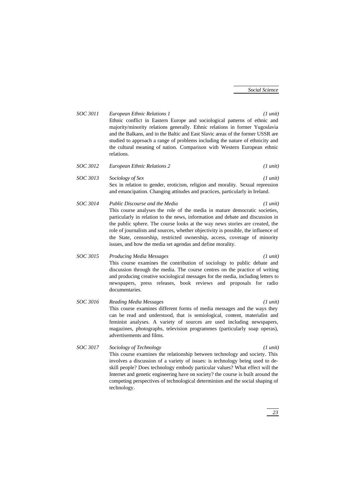- *SOC 3011 European Ethnic Relations 1 (1 unit)* Ethnic conflict in Eastern Europe and sociological patterns of ethnic and majority/minority relations generally. Ethnic relations in former Yugoslavia and the Balkans, and in the Baltic and East Slavic areas of the former USSR are studied to approach a range of problems including the nature of ethnicity and the cultural meaning of nation. Comparison with Western European ethnic relations. *SOC 3012 European Ethnic Relations 2 (1 unit) SOC 3013 Sociology of Sex (1 unit)*
	- Sex in relation to gender, eroticism, religion and morality. Sexual repression and emancipation. Changing attitudes and practices, particularly in Ireland.
- *SOC 3014 Public Discourse and the Media (1 unit)* This course analyses the role of the media in mature democratic societies, particularly in relation to the news, information and debate and discussion in the public sphere. The course looks at the way news stories are created, the role of journalists and sources, whether objectivity is possible, the influence of the State, censorship, restricted ownership, access, coverage of minority issues, and how the media set agendas and define morality.

*SOC 3015 Producing Media Messages (1 unit)* This course examines the contribution of sociology to public debate and discussion through the media. The course centres on the practice of writing and producing creative sociological messages for the media, including letters to newspapers, press releases, book reviews and proposals for radio documentaries.

- *SOC 3016 Reading Media Messages (1 unit)* This course examines different forms of media messages and the ways they can be read and understood, that is semiological, content, materialist and feminist analyses. A variety of sources are used including newspapers, magazines, photographs, television programmes (particularly soap operas), advertisements and films.
- *SOC 3017 Sociology of Technology (1 unit)* This course examines the relationship between technology and society. This involves a discussion of a variety of issues: is technology being used to deskill people? Does technology embody particular values? What effect will the Internet and genetic engineering have on society? the course is built around the competing perspectives of technological determinism and the social shaping of technology.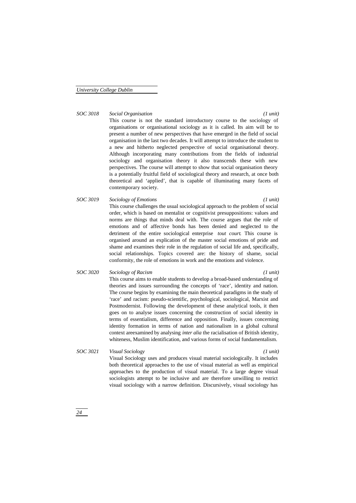### *SOC 3018 Social Organisation (1 unit)*

This course is not the standard introductory course to the sociology of organisations or organisational sociology as it is called. Its aim will be to present a number of new perspectives that have emerged in the field of social organisation in the last two decades. It will attempt to introduce the student to a new and hitherto neglected perspective of social organisational theory. Although incorporating many contributions from the fields of industrial sociology and organisation theory it also transcends these with new perspectives. The course will attempt to show that social organisation theory is a potentially fruitful field of sociological theory and research, at once both theoretical and 'applied', that is capable of illuminating many facets of contemporary society.

## *SOC 3019 Sociology of Emotions (1 unit)* This course challenges the usual sociological approach to the problem of social order, which is based on mentalist or cognitivist presuppositions: values and norms are things that minds deal with. The course argues that the role of emotions and of affective bonds has been denied and neglected to the detriment of the entire sociological enterprise *tout court*. This course is organised around an explication of the master social emotions of pride and shame and examines their role in the regulation of social life and, specifically,

## *SOC 3020 Sociology of Racism (1 unit)*

This course aims to enable students to develop a broad-based understanding of theories and issues surrounding the concepts of 'race', identity and nation. The course begins by examining the main theoretical paradigms in the study of 'race' and racism: pseudo-scientific, psychological, sociological, Marxist and Postmodernist. Following the development of these analytical tools, it then goes on to analyse issues concerning the construction of social identity in terms of essentialism, difference and opposition. Finally, issues concerning identity formation in terms of nation and nationalism in a global cultural context areexamined by analysing *inter alia* the racialisation of British identity, whiteness, Muslim identification, and various forms of social fundamentalism.

social relationships. Topics covered are: the history of shame, social conformity, the role of emotions in work and the emotions and violence.

### *SOC 3021 Visual Sociology (1 unit)*

Visual Sociology uses and produces visual material sociologically. It includes both theoretical approaches to the use of visual material as well as empirical approaches to the production of visual material. To a large degree visual sociologists attempt to be inclusive and are therefore unwilling to restrict visual sociology with a narrow definition. Discursively, visual sociology has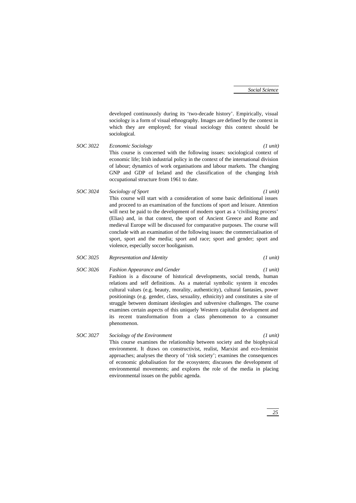developed continuously during its 'two-decade history'. Empirically, visual sociology is a form of visual ethnography. Images are defined by the context in which they are employed; for visual sociology this context should be sociological.

- *SOC 3022 Economic Sociology (1 unit)* This course is concerned with the following issues: sociological context of economic life; Irish industrial policy in the context of the international division of labour; dynamics of work organisations and labour markets. The changing GNP and GDP of Ireland and the classification of the changing Irish occupational structure from 1961 to date.
- *SOC 3024 Sociology of Sport (1 unit)* This course will start with a consideration of some basic definitional issues and proceed to an examination of the functions of sport and leisure. Attention will next be paid to the development of modern sport as a 'civilising process' (Elias) and, in that context, the sport of Ancient Greece and Rome and medieval Europe will be discussed for comparative purposes. The course will conclude with an examination of the following issues: the commercialisation of sport, sport and the media; sport and race; sport and gender; sport and violence, especially soccer hooliganism.
- *SOC 3025 Representation and Identity (1 unit)*

- *SOC 3026 Fashion Appearance and Gender (1 unit)* Fashion is a discourse of historical developments, social trends, human relations and self definitions. As a material symbolic system it encodes cultural values (e.g. beauty, morality, authenticity), cultural fantasies, power positionings (e.g. gender, class, sexuality, ethnicity) and constitutes a site of struggle between dominant ideologies and subversive challenges. The course examines certain aspects of this uniquely Western capitalist development and its recent transformation from a class phenomenon to a consumer phenomenon.
- *SOC 3027 Sociology of the Environment (1 unit)* This course examines the relationship between society and the biophysical environment. It draws on constructivist, realist, Marxist and eco-feminist approaches; analyses the theory of 'risk society'; examines the consequences of economic globalisation for the ecosystem; discusses the development of environmental movements; and explores the role of the media in placing environmental issues on the public agenda.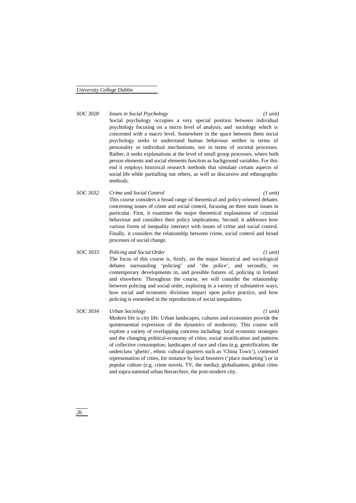## *SOC 3028 Issues in Social Psychology (1 unit)*

Social psychology occupies a very special position between individual psychology focusing on a micro level of analysis, and sociology which is concerned with a macro level. Somewhere in the space between them social psychology seeks to understand human behaviour neither in terms of personality or individual mechanisms, nor in terms of societal processes. Rather, it seeks explanations at the level of small group processes, where both person elements and social elements function as background variables. For this end it employs historical research methods that simulate certain aspects of social life while partialling out others, as well as discursive and ethnographic methods.

## *SOC 3032 Crime and Social Control (1 unit)* This course considers a broad range of theoretical and policy-oriented debates concerning issues of crime and social control, focusing on three main issues in particular. First, it examines the major theoretical explanations of criminal behaviour and considers their policy implications. Second, it addresses how various forms of inequality intersect with issues of crime and social control. Finally, it considers the relationship between crime, social control and broad processes of social change.

## *SOC 3033 Policing and Social Order (1 unit)*

The focus of this course is, firstly, on the major historical and sociological debates surrounding 'policing' and 'the police', and secondly, on contemporary developments in, and possible futures of, policing in Ireland and elsewhere. Throughout the course, we will consider the relationship between policing and social order, exploring in a variety of substantive ways, how social and economic divisions impact upon police practice, and how policing is enmeshed in the reproduction of social inequalities.

## *SOC 3034 Urban Sociology (1 unit)* Modern life is city life. Urban landscapes, cultures and economies provide the quintessential expression of the dynamics of modernity. This course will explore a variety of overlapping concerns including: local economic strategies and the changing political-economy of cities; social stratification and patterns of collective consumption; landscapes of race and class (e.g. gentrification, the underclass 'ghetto', ethnic cultural quarters such as 'China Town'), contested representation of cities, for instance by local boosters ('place marketing') or in popular culture (e.g. crime novels, TV, the media); globalisation, global cities and supra-national urban hierarchies; the post-modern city.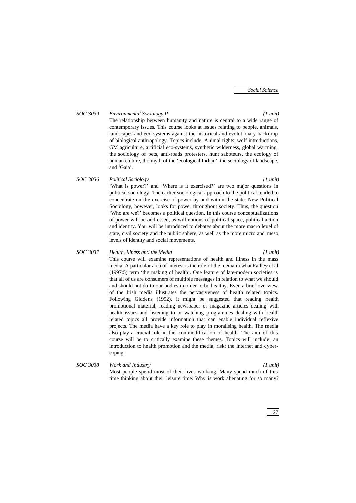## *SOC 3039 Environmental Sociology II (1 unit)*

The relationship between humanity and nature is central to a wide range of contemporary issues. This course looks at issues relating to people, animals, landscapes and eco-systems against the historical and evolutionary backdrop of biological anthropology. Topics include: Animal rights, wolf-introductions, GM agriculture, artificial eco-systems, synthetic wilderness, global warming, the sociology of pets, anti-roads protesters, hunt saboteurs, the ecology of human culture, the myth of the 'ecological Indian', the sociology of landscape, and 'Gaia'.

*SOC 3036 Political Sociology (1 unit)* 'What is power?' and 'Where is it exercised?' are two major questions in political sociology. The earlier sociological approach to the political tended to concentrate on the exercise of power by and within the state. New Political Sociology, however, looks for power throughout society. Thus, the question 'Who are we?' becomes a political question. In this course conceptualizations of power will be addressed, as will notions of political space, political action and identity. You will be introduced to debates about the more macro level of state, civil society and the public sphere, as well as the more micro and meso levels of identity and social movements.

## *SOC 3037 Health, Illness and the Media (1 unit)*

This course will examine representations of health and illness in the mass media. A particular area of interest is the role of the media in what Radley et al (1997:5) term 'the making of health'. One feature of late-modern societies is that all of us are consumers of multiple messages in relation to what we should and should not do to our bodies in order to be healthy. Even a brief overview of the Irish media illustrates the pervasiveness of health related topics. Following Giddens (1992), it might be suggested that reading health promotional material, reading newspaper or magazine articles dealing with health issues and listening to or watching programmes dealing with health related topics all provide information that can enable individual reflexive projects. The media have a key role to play in moralising health. The media also play a crucial role in the commodification of health. The aim of this course will be to critically examine these themes. Topics will include: an introduction to health promotion and the media; risk; the internet and cybercoping.

*SOC 3038 Work and Industry (1 unit)* Most people spend most of their lives working. Many spend much of this time thinking about their leisure time. Why is work alienating for so many?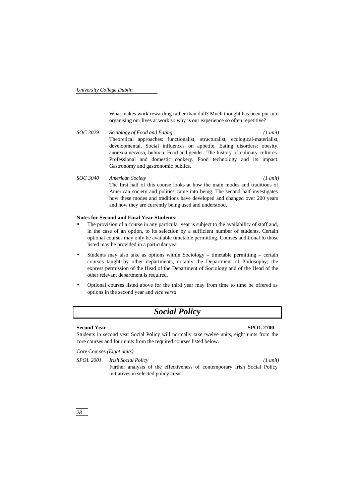What makes work rewarding rather than dull? Much thought has been put into organising our lives at work so why is our experience so often repetitive?

- *SOC 3029 Sociology of Food and Eating (1 unit)* Theoretical approaches: functionalist, structuralist, ecological-materialist, developmental. Social influences on appetite. Eating disorders: obesity, anorexia nervosa, bulimia. Food and gender. The history of culinary cultures. Professional and domestic cookery. Food technology and its impact. Gastronomy and gastronomic publics.
- *SOC 3040 American Society (1 unit)* The first half of this course looks at how the main modes and traditions of American society and politics came into being. The second half investigates how these modes and traditions have developed and changed over 200 years and how they are currently being used and understood.

### **Notes for Second and Final Year Students:**

- The provision of a course in any particular year is subject to the availability of staff and, in the case of an option, to its selection by a sufficient number of students. Certain optional courses may only be available timetable permitting. Courses additional to those listed may be provided in a particular year.
- Students may also take as options within Sociology timetable permitting certain courses taught by other departments, notably the Department of Philosophy; the express permission of the Head of the Department of Sociology and of the Head of the other relevant department is required.
- Optional courses listed above for the third year may from time to time be offered as options in the second year and *vice versa.*

## *Social Policy*

### **Second Year SPOL 2700**

Students in second year Social Policy will normally take twelve units, eight units from the core courses and four units from the required courses listed below.

Core Courses *(Eight units)*

*SPOL 2001 Irish Social Policy (1 unit)*

Further analysis of the effectiveness of contemporary Irish Social Policy initiatives in selected policy areas.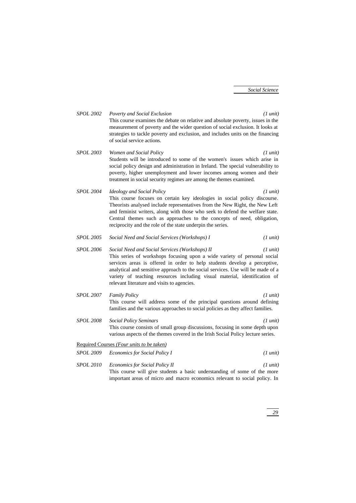*SPOL 2002 Poverty and Social Exclusion (1 unit)* This course examines the debate on relative and absolute poverty, issues in the measurement of poverty and the wider question of social exclusion. It looks at strategies to tackle poverty and exclusion, and includes units on the financing of social service actions.

- *SPOL 2003 Women and Social Policy (1 unit)* Students will be introduced to some of the women's issues which arise in social policy design and administration in Ireland. The special vulnerability to poverty, higher unemployment and lower incomes among women and their treatment in social security regimes are among the themes examined.
- *SPOL 2004 Ideology and Social Policy (1 unit)* This course focuses on certain key ideologies in social policy discourse. Theorists analysed include representatives from the New Right, the New Left and feminist writers, along with those who seek to defend the welfare state. Central themes such as approaches to the concepts of need, obligation, reciprocity and the role of the state underpin the series.
- *SPOL 2005 Social Need and Social Services (Workshops) I (1 unit)*
- *SPOL 2006 Social Need and Social Services (Workshops) II (1 unit)* This series of workshops focusing upon a wide variety of personal social services areas is offered in order to help students develop a perceptive, analytical and sensitive approach to the social services. Use will be made of a variety of teaching resources including visual material, identification of relevant literature and visits to agencies.
- *SPOL 2007 Family Policy (1 unit)* This course will address some of the principal questions around defining families and the various approaches to social policies as they affect families.
- *SPOL 2008 Social Policy Seminars (1 unit)* This course consists of small group discussions, focusing in some depth upon various aspects of the themes covered in the Irish Social Policy lecture series.

## Required Courses *(Four units to be taken) SPOL 2009 Economics for Social Policy I (1 unit)*

*SPOL 2010 Economics for Social Policy II (1 unit)* This course will give students a basic understanding of some of the more important areas of micro and macro economics relevant to social policy. In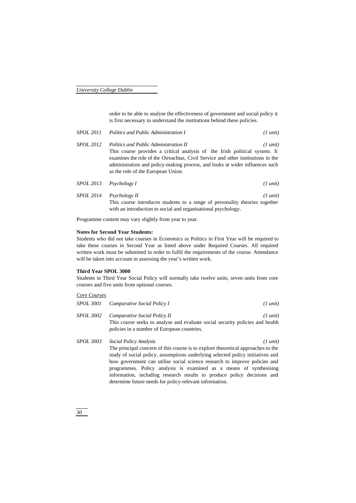order to be able to analyse the effectiveness of government and social policy it is first necessary to understand the institutions behind these policies.

|                  | SPOL 2011 Politics and Public Administration I                                                                                                                                                                                                                                                                                | $(1 \text{ unit})$ |
|------------------|-------------------------------------------------------------------------------------------------------------------------------------------------------------------------------------------------------------------------------------------------------------------------------------------------------------------------------|--------------------|
| <i>SPOL 2012</i> | Politics and Public Administration II<br>This course provides a critical analysis of the Irish political system. It<br>examines the role of the Oireachtas, Civil Service and other institutions in the<br>administration and policy-making process, and looks at wider influences such<br>as the role of the European Union. | $(1 \text{ unit})$ |
|                  | $SPOL$ 2013 Psychology I                                                                                                                                                                                                                                                                                                      | $(1 \text{ unit})$ |

*SPOL 2014 Psychology II (1 unit)* This course introduces students to a range of personality theories together with an introduction to social and organisational psychology.

Programme content may vary slightly from year to year.

### **Notes for Second Year Students:**

Students who did not take courses in Economics or Politics in First Year will be required to take these courses in Second Year as listed above under Required Courses. All required written work must be submitted in order to fulfil the requirements of the course. Attendance will be taken into account in assessing the year's written work.

### **Third Year SPOL 3000**

Students in Third Year Social Policy will normally take twelve units, seven units from core courses and five units from optional courses.

## *Core Courses*

|                  | SPOL 3001 Comparative Social Policy I                                                                                                                        | $(1 \text{ unit})$ |
|------------------|--------------------------------------------------------------------------------------------------------------------------------------------------------------|--------------------|
| <i>SPOL 3002</i> | Comparative Social Policy II<br>This course seeks to analyse and evaluate social security policies and health<br>policies in a number of European countries. | $(1 \text{ unit})$ |
| <i>SPOL 3003</i> | Social Policy Analysis                                                                                                                                       | $(1 \text{ unit})$ |

The principal concern of this course is to explore theoretical approaches to the study of social policy, assumptions underlying selected policy initiatives and how government can utilise social science research to improve policies and programmes. Policy analysis is examined as a means of synthesising information, including research results to produce policy decisions and determine future needs for policy-relevant information.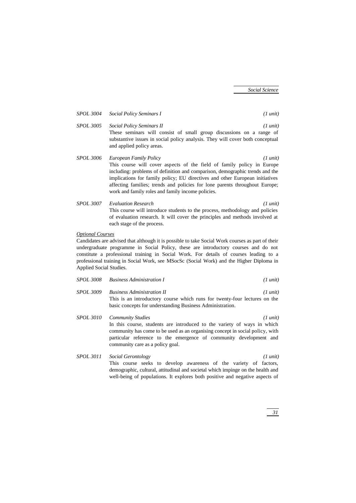|                  | SPOL 3004 Social Policy Seminars I<br>$(1 \text{ unit})$                                                                                                                                                                              |
|------------------|---------------------------------------------------------------------------------------------------------------------------------------------------------------------------------------------------------------------------------------|
| <i>SPOL 3005</i> | Social Policy Seminars II<br>$(1 \text{ unit})$<br>These seminars will consist of small group discussions on a range of<br>substantive issues in social policy analysis. They will cover both conceptual<br>and applied policy areas. |
|                  |                                                                                                                                                                                                                                       |

- *SPOL 3006 European Family Policy (1 unit)* This course will cover aspects of the field of family policy in Europe including: problems of definition and comparison, demographic trends and the implications for family policy; EU directives and other European initiatives affecting families; trends and policies for lone parents throughout Europe; work and family roles and family income policies.
- *SPOL 3007 Evaluation Research (1 unit)* This course will introduce students to the process, methodology and policies of evaluation research. It will cover the principles and methods involved at each stage of the process.

## *Optional Courses*

Candidates are advised that although it is possible to take Social Work courses as part of their undergraduate programme in Social Policy, these are introductory courses and do not constitute a professional training in Social Work. For details of courses leading to a professional training in Social Work, see MSocSc (Social Work) and the Higher Diploma in Applied Social Studies.

|  | $(1 \text{ unit})$ |
|--|--------------------|

- *SPOL 3009 Business Administration II (1 unit)* This is an introductory course which runs for twenty-four lectures on the basic concepts for understanding Business Administration.
- *SPOL 3010 Community Studies (1 unit)* In this course, students are introduced to the variety of ways in which community has come to be used as an organising concept in social policy, with particular reference to the emergence of community development and community care as a policy goal.
- *SPOL 3011 Social Gerontology (1 unit)* This course seeks to develop awareness of the variety of factors, demographic, cultural, attitudinal and societal which impinge on the health and well-being of populations. It explores both positive and negative aspects of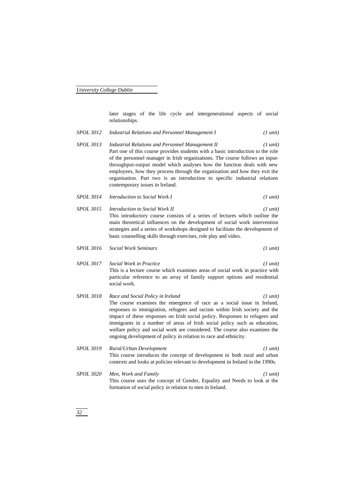later stages of the life cycle and intergenerational aspects of social relationships.

*SPOL 3012 Industrial Relations and Personnel Management I (1 unit) SPOL 3013 Industrial Relations and Personnel Management II (1 unit)* Part one of this course provides students with a basic introduction to the role of the personnel manager in Irish organisations. The course follows an inputthroughput-output model which analyses how the function deals with new employees, how they process through the organisation and how they exit the organisation. Part two is an introduction to specific industrial relations contemporary issues in Ireland. *SPOL 3014 Introduction to Social Work I (1 unit) SPOL 3015 Introduction to Social Work II (1 unit)* This introductory course consists of a series of lectures which outline the main theoretical influences on the development of social work intervention strategies and a series of workshops designed to facilitate the development of basic counselling skills through exercises, role play and video. *SPOL 3016 Social Work Seminars (1 unit) SPOL 3017 Social Work in Practice (1 unit)* This is a lecture course which examines areas of social work in practice with particular reference to an array of family support options and residential social work. *SPOL 3018 Race and Social Policy in Ireland (1 unit)* The course examines the emergence of race as a social issue in Ireland, responses to immigration, refugees and racism within Irish society and the impact of these responses on Irish social policy. Responses to refugees and immigrants in a number of areas of Irish social policy such as education, welfare policy and social work are considered. The course also examines the ongoing development of policy in relation to race and ethnicity. *SPOL 3019 Rural/Urban Development (1 unit)* This course introduces the concept of development in both rural and urban contexts and looks at policies relevant to development in Ireland in the 1990s. *SPOL 3020 Men, Work and Family (1 unit)* This course uses the concept of Gender, Equality and Needs to look at the formation of social policy in relation to men in Ireland.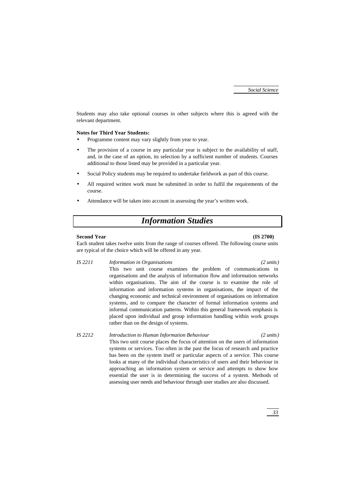Students may also take optional courses in other subjects where this is agreed with the relevant department.

### **Notes for Third Year Students:**

- Programme content may vary slightly from year to year.
- The provision of a course in any particular year is subject to the availability of staff, and, in the case of an option, its selection by a sufficient number of students. Courses additional to those listed may be provided in a particular year.
- Social Policy students may be required to undertake fieldwork as part of this course.
- All required written work must be submitted in order to fulfil the requirements of the course.
- Attendance will be taken into account in assessing the year's written work.

## *Information Studies*

### **Second Year (IS 2700)**

Each student takes twelve units from the range of courses offered. The following course units are typical of the choice which will be offered in any year.

*IS 2211 Information in Organisations (2 units)*

This two unit course examines the problem of communications in organisations and the analysis of information flow and information networks within organisations. The aim of the course is to examine the role of information and information systems in organisations, the impact of the changing economic and technical environment of organisations on information systems, and to compare the character of formal information systems and informal communication patterns. Within this general framework emphasis is placed upon individual and group information handling within work groups rather than on the design of systems.

*IS 2212 Introduction to Human Information Behaviour (2 units)* This two unit course places the focus of attention on the users of information systems or services. Too often in the past the focus of research and practice has been on the system itself or particular aspects of a service. This course looks at many of the individual characteristics of users and their behaviour in approaching an information system or service and attempts to show how essential the user is in determining the success of a system. Methods of assessing user needs and behaviour through user studies are also discussed.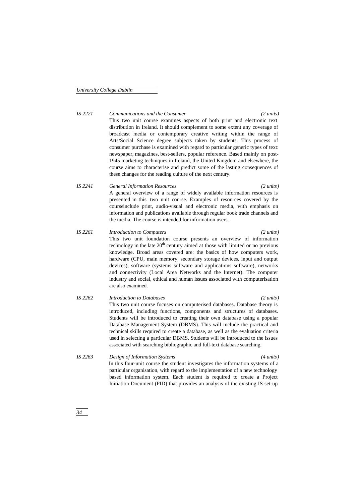*IS 2221 Communications and the Consumer (2 units)* This two unit course examines aspects of both print and electronic text distribution in Ireland. It should complement to some extent any coverage of broadcast media or contemporary creative writing within the range of Arts/Social Science degree subjects taken by students. This process of consumer purchase is examined with regard to particular generic types of text: newspaper, magazines, best-sellers, popular reference. Based mainly on post-1945 marketing techniques in Ireland, the United Kingdom and elsewhere, the course aims to characterise and predict some of the lasting consequences of these changes for the reading culture of the next century.

## *IS 2241 General Information Resources (2 units)* A general overview of a range of widely available information resources is presented in this two unit course. Examples of resources covered by the courseinclude print, audio-visual and electronic media, with emphasis on information and publications available through regular book trade channels and the media. The course is intended for information users.

## *IS 2261 Introduction to Computers (2 units)* This two unit foundation course presents an overview of information technology in the late  $20<sup>th</sup>$  century aimed at those with limited or no previous knowledge. Broad areas covered are: the basics of how computers work, hardware (CPU, main memory, secondary storage devices, input and output devices), software (systems software and applications software), networks and connectivity (Local Area Networks and the Internet). The computer industry and social, ethical and human issues associated with computerisation

are also examined.

- *IS 2262 Introduction to Databases (2 units)* This two unit course focuses on computerised databases. Database theory is introduced, including functions, components and structures of databases. Students will be introduced to creating their own database using a popular Database Management System (DBMS). This will include the practical and technical skills required to create a database, as well as the evaluation criteria used in selecting a particular DBMS. Students will be introduced to the issues associated with searching bibliographic and full-text database searching.
- *IS 2263 Design of Information Systems (4 units)* In this four-unit course the student investigates the information systems of a particular organisation, with regard to the implementation of a new technology based information system. Each student is required to create a Project Initiation Document (PID) that provides an analysis of the existing IS set-up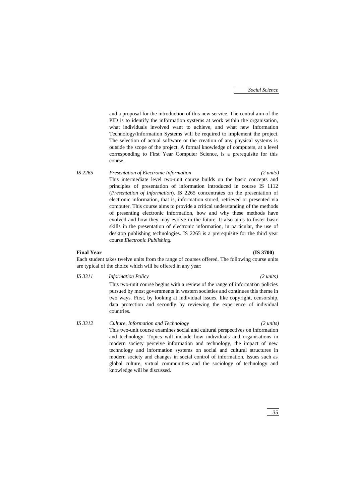and a proposal for the introduction of this new service. The central aim of the PID is to identify the information systems at work within the organisation, what individuals involved want to achieve, and what new Information Technology/Information Systems will be required to implement the project. The selection of actual software or the creation of any physical systems is outside the scope of the project. A formal knowledge of computers, at a level corresponding to First Year Computer Science, is a prerequisite for this course.

*IS 2265 Presentation of Electronic Information (2 units)* This intermediate level two-unit course builds on the basic concepts and principles of presentation of information introduced in course IS 1112 (*Presentation of Information*). IS 2265 concentrates on the presentation of electronic information, that is, information stored, retrieved or presented via computer. This course aims to provide a critical understanding of the methods of presenting electronic information, how and why these methods have evolved and how they may evolve in the future. It also aims to foster basic skills in the presentation of electronic information, in particular, the use of desktop publishing technologies. IS 2265 is a prerequisite for the third year course *Electronic Publishing.*

### **Final Year (IS 3700)**

Each student takes twelve units from the range of courses offered. The following course units are typical of the choice which will be offered in any year:

## *IS 3311 Information Policy (2 units)*

This two-unit course begins with a review of the range of information policies pursued by most governments in western societies and continues this theme in two ways. First, by looking at individual issues, like copyright, censorship, data protection and secondly by reviewing the experience of individual countries.

*IS 3312 Culture, Information and Technology (2 units)* This two-unit course examines social and cultural perspectives on information and technology. Topics will include how individuals and organisations in modern society perceive information and technology, the impact of new technology and information systems on social and cultural structures in modern society and changes in social control of information. Issues such as global culture, virtual communities and the sociology of technology and knowledge will be discussed.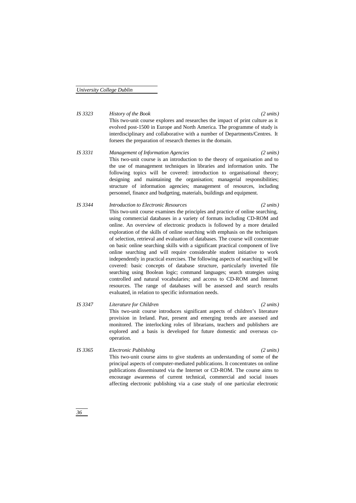*IS 3323 History of the Book (2 units)* This two-unit course explores and researches the impact of print culture as it evolved post-1500 in Europe and North America. The programme of study is interdisciplinary and collaborative with a number of Departments/Centres. It forsees the preparation of research themes in the domain.

- *IS 3331 Management of Information Agencies (2 units)* This two-unit course is an introduction to the theory of organisation and to the use of management techniques in libraries and information units. The following topics will be covered: introduction to organisational theory; designing and maintaining the organisation; managerial responsibilities; structure of information agencies; management of resources, including personnel, finance and budgeting, materials, buildings and equipment.
- *IS 3344 Introduction to Electronic Resources (2 units)* This two-unit course examines the principles and practice of online searching, using commercial databases in a variety of formats including CD-ROM and online. An overview of electronic products is followed by a more detailed exploration of the skills of online searching with emphasis on the techniques of selection, retrieval and evaluation of databases. The course will concentrate on basic online searching skills with a significant practical component of live online searching and will require considerable student initiative to work independently in practical exercises. The following aspects of searching will be covered: basic concepts of database structure, particularly inverted file searching using Boolean logic; command languages; search strategies using controlled and natural vocabularies; and access to CD-ROM and Internet resources. The range of databases will be assessed and search results evaluated, in relation to specific information needs.
- *IS 3347 Literature for Children (2 units)* This two-unit course introduces significant aspects of children's literature provision in Ireland. Past, present and emerging trends are assessed and monitored. The interlocking roles of librarians, teachers and publishers are explored and a basis is developed for future domestic and overseas cooperation.
- *IS 3365 Electronic Publishing (2 units)* This two-unit course aims to give students an understanding of some of the principal aspects of computer-mediated publications. It concentrates on online publications disseminated via the Internet or CD-ROM. The course aims to encourage awareness of current technical, commercial and social issues affecting electronic publishing via a case study of one particular electronic

*36*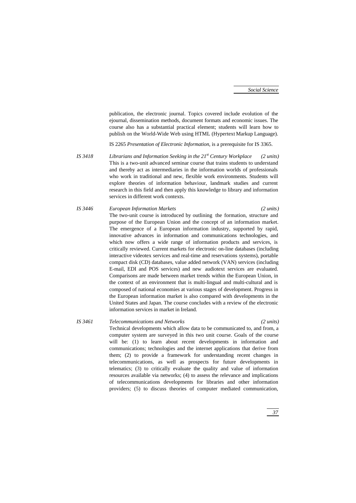publication, the electronic journal. Topics covered include evolution of the ejournal, dissemination methods, document formats and economic issues. The course also has a substantial practical element; students will learn how to publish on the World-Wide Web using HTML (Hypertext Markup Language).

IS 2265 *Presentation of Electronic Information*, is a prerequisite for IS 3365.

*IS 3418 Librarians and Information Seeking in the 21st Century Workplace (2 units)* This is a two-unit advanced seminar course that trains students to understand and thereby act as intermediaries in the information worlds of professionals who work in traditional and new, flexible work environments. Students will explore theories of information behaviour, landmark studies and current research in this field and then apply this knowledge to library and information services in different work contexts.

# *IS 3446 European Information Markets (2 units)* The two-unit course is introduced by outlining the formation, structure and purpose of the European Union and the concept of an information market. The emergence of a European information industry, supported by rapid, innovative advances in information and communications technologies, and which now offers a wide range of information products and services, is critically reviewed. Current markets for electronic on-line databases (including interactive videotex services and real-time and reservations systems), portable compact disk (CD) databases, value added network (VAN) services (including E-mail, EDI and POS services) and new audiotext services are evaluated. Comparisons are made between market trends within the European Union, in the context of an environment that is multi-lingual and multi-cultural and is composed of national economies at various stages of development. Progress in the European information market is also compared with developments in the United States and Japan. The course concludes with a review of the electronic information services in market in Ireland.

*IS 3461 Telecommunications and Networks (2 units)* Technical developments which allow data to be communicated to, and from, a computer system are surveyed in this two unit course. Goals of the course will be: (1) to learn about recent developments in information and communications; technologies and the internet applications that derive from them; (2) to provide a framework for understanding recent changes in telecommunications, as well as prospects for future developments in telematics; (3) to critically evaluate the quality and value of information resources available via networks; (4) to assess the relevance and implications of telecommunications developments for libraries and other information providers; (5) to discuss theories of computer mediated communication,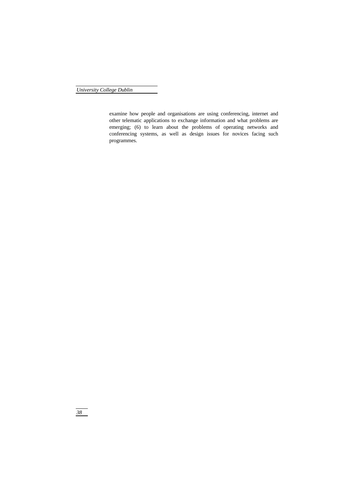examine how people and organisations are using conferencing, internet and other telematic applications to exchange information and what problems are emerging; (6) to learn about the problems of operating networks and conferencing systems, as well as design issues for novices facing such programmes.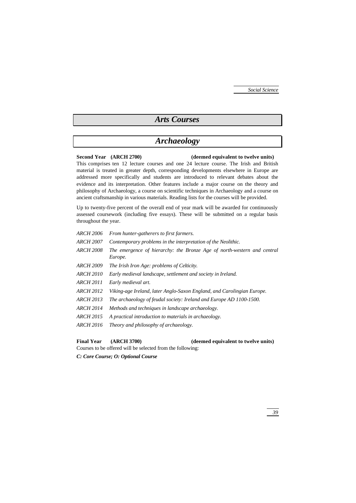# *Arts Courses*

# *Archaeology*

## **Second Year (ARCH 2700) (deemed equivalent to twelve units)**

This comprises ten 12 lecture courses and one 24 lecture course. The Irish and British material is treated in greater depth, corresponding developments elsewhere in Europe are addressed more specifically and students are introduced to relevant debates about the evidence and its interpretation. Other features include a major course on the theory and philosophy of Archaeology, a course on scientific techniques in Archaeology and a course on ancient craftsmanship in various materials. Reading lists for the courses will be provided.

Up to twenty-five percent of the overall end of year mark will be awarded for continuously assessed coursework (including five essays). These will be submitted on a regular basis throughout the year.

*ARCH 2006 From hunter-gatherers to first farmers. ARCH 2007 Contemporary problems in the interpretation of the Neolithic. ARCH 2008 The emergence of hierarchy: the Bronze Age of north-western and central Europe. ARCH 2009 The Irish Iron Age: problems of Celticity. ARCH 2010 Early medieval landscape, settlement and society in Ireland. ARCH 2011 Early medieval art. ARCH 2012 Viking-age Ireland, later Anglo-Saxon England, and Carolingian Europe. ARCH 2013 The archaeology of feudal society: Ireland and Europe AD 1100-1500. ARCH 2014 Methods and techniques in landscape archaeology. ARCH 2015 A practical introduction to materials in archaeology. ARCH 2016 Theory and philosophy of archaeology.*

### **Final Year (ARCH 3700) (deemed equivalent to twelve units)**

*C: Core Course; O: Optional Course*

Courses to be offered will be selected from the following: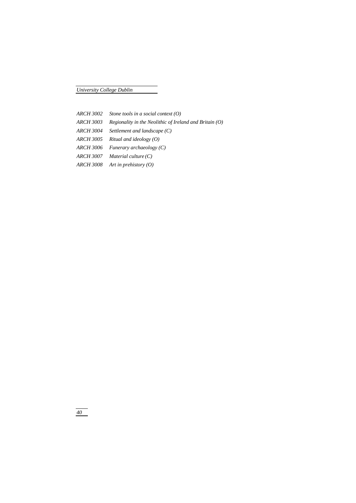*ARCH 3002 Stone tools in a social context (O) ARCH 3003 Regionality in the Neolithic of Ireland and Britain (O) ARCH 3004 Settlement and landscape (C) ARCH 3005 Ritual and ideology (O) ARCH 3006 Funerary archaeology (C) ARCH 3007 Material culture (C) ARCH 3008 Art in prehistory (O)*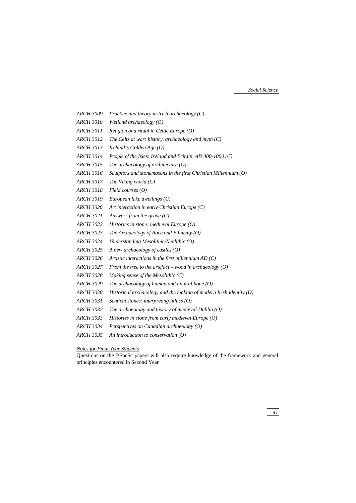*ARCH 3009 Practice and theory in Irish archaeology (C) ARCH 3010 Wetland archaeology (O) ARCH 3011 Religion and ritual in Celtic Europe (O) ARCH 3012 The Celts at war: history, archaeology and myth (C) ARCH 3013 Ireland's Golden Age (O) ARCH 3014 People of the Isles: Ireland and Britain, AD 400-1000 (C) ARCH 3015 The archaeology of architecture (O) ARCH 3016 Sculptors and stonemasons in the first Christian Millennium (O) ARCH 3017 The Viking world (C) ARCH 3018 Field courses (O) ARCH 3019 European lake dwellings (C) ARCH 3020 Art interaction in early Christian Europe (C) ARCH 3021 Answers from the grave (C) ARCH 3022 Histories in stone: medieval Europe (O) ARCH 3023 The Archaeology of Race and Ethnicity (O) ARCH 3024 Understanding Mesolithic/Neolithic (O) ARCH 3025 A new archaeology of castles (O) ARCH 3026 Artistic interactions in the first millennium AD (C) ARCH 3027 From the tree to the artefact – wood in archaeology (O) ARCH 3028 Making sense of the Mesolithic (C) ARCH 3029 The archaeology of human and animal bone (O) ARCH 3030 Historical archaeology and the making of modern Irish identity (O) ARCH 3031 Sentient stones: interpreting lithics (O) ARCH 3032 The archaeology and history of medieval Dublin (O) ARCH 3033 Histories in stone from early medieval Europe (O) ARCH 3034 Perspectives on Canadian archaeology (O) ARCH 3035 An introduction to conservation (O)*

## *Notes for Final Year Students*

Questions on the BSocSc papers will also require knowledge of the framework and general principles encountered in Second Year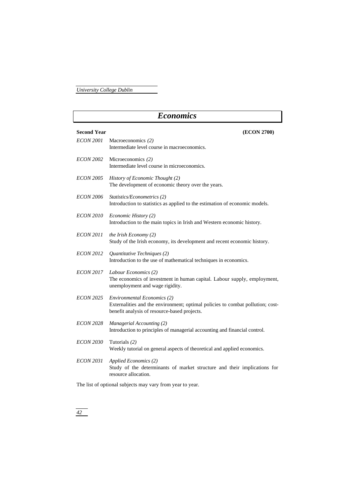# *Economics* **Second Year (ECON 2700)** *ECON 2001* Macroeconomics *(2)* Intermediate level course in macroeconomics. *ECON 2002* Microeconomics *(2)* Intermediate level course in microeconomics. *ECON 2005 History of Economic Thought (2)* The development of economic theory over the years. *ECON 2006 Statistics/Econometrics (2)* Introduction to statistics as applied to the estimation of economic models. *ECON 2010 Economic History (2)* Introduction to the main topics in Irish and Western economic history. *ECON 2011 the Irish Economy (2)* Study of the Irish economy, its development and recent economic history. *ECON 2012 Quantitative Techniques (2)* Introduction to the use of mathematical techniques in economics. *ECON 2017 Labour Economics (2)* The economics of investment in human capital. Labour supply, employment, unemployment and wage rigidity. *ECON 2025 Environmental Economics (2)* Externalities and the environment; optimal policies to combat pollution; costbenefit analysis of resource-based projects. *ECON 2028 Managerial Accounting (2)* Introduction to principles of managerial accounting and financial control. *ECON 2030* Tutorials *(2)* Weekly tutorial on general aspects of theoretical and applied economics. *ECON 2031 Applied Economics (2)* Study of the determinants of market structure and their implications for resource allocation. The list of optional subjects may vary from year to year.

# *42*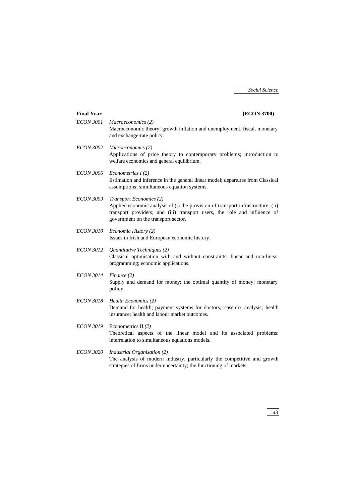| <b>Final Year</b> | (ECON 3700)                                                                                                                                                                                                                            |
|-------------------|----------------------------------------------------------------------------------------------------------------------------------------------------------------------------------------------------------------------------------------|
| <b>ECON 3001</b>  | Macroeconomics (2)<br>Macroeconomic theory; growth inflation and unemployment, fiscal, monetary<br>and exchange-rate policy.                                                                                                           |
| <b>ECON 3002</b>  | Microeconomics (2)<br>Applications of price theory to contemporary problems; introduction to<br>welfare economics and general equilibrium.                                                                                             |
| <b>ECON 3006</b>  | Econometrics $I(2)$<br>Estimation and inference in the general linear model; departures from Classical<br>assumptions; simultaneous equation systems.                                                                                  |
| <b>ECON 3009</b>  | <b>Transport Economics (2)</b><br>Applied economic analysis of (i) the provision of transport infrastructure; (ii)<br>transport providers; and (iii) transport users, the role and influence of<br>government on the transport sector. |
| <b>ECON 3010</b>  | Economic History (2)<br>Issues in Irish and European economic history.                                                                                                                                                                 |
| <i>ECON 3012</i>  | Quantitative Techniques (2)<br>Classical optimisation with and without constraints; linear and non-linear<br>programming; economic applications.                                                                                       |
| <b>ECON 3014</b>  | Finance (2)<br>Supply and demand for money; the optimal quantity of money; monetary<br>policy.                                                                                                                                         |
| <b>ECON 3018</b>  | Health Economics (2)<br>Demand for health; payment systems for doctors; casemix analysis; health<br>insurance; health and labour market outcomes.                                                                                      |
| <b>ECON 3019</b>  | Econometrics II $(2)$<br>Theoretical aspects of the linear model and its associated problems:<br>interrelation to simultaneous equations models.                                                                                       |
| <b>ECON 3020</b>  | Industrial Organisation (2)<br>The analysis of modern industry, particularly the competitive and growth<br>strategies of firms under uncertainty; the functioning of markets.                                                          |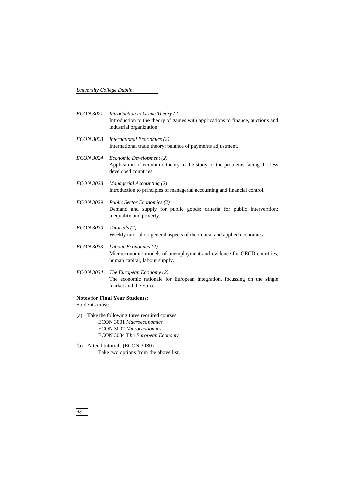| <i>ECON 3021</i>                      | Introduction to Game Theory (2)<br>Introduction to the theory of games with applications to finance, auctions and<br>industrial organization. |  |
|---------------------------------------|-----------------------------------------------------------------------------------------------------------------------------------------------|--|
| <b>ECON 3023</b>                      | International Economics (2)<br>International trade theory; balance of payments adjustment.                                                    |  |
| <i>ECON 3024</i>                      | Economic Development (2)<br>Application of economic theory to the study of the problems facing the less<br>developed countries.               |  |
| <b>ECON 3028</b>                      | Managerial Accounting (2)<br>Introduction to principles of managerial accounting and financial control.                                       |  |
| <i>ECON 3029</i>                      | <b>Public Sector Economics (2)</b><br>Demand and supply for public goods; criteria for public intervention;<br>inequality and poverty.        |  |
| <b>ECON 3030</b>                      | Tutorials (2)<br>Weekly tutorial on general aspects of theoretical and applied economics.                                                     |  |
| <i>ECON 3033</i>                      | Labour Economics (2)<br>Microeconomic models of unemployment and evidence for OECD countries,<br>human capital, labour supply.                |  |
| <b>ECON 3034</b>                      | The European Economy (2)<br>The economic rationale for European integration, focussing on the single<br>market and the Euro.                  |  |
| <b>Notes for Final Year Students:</b> |                                                                                                                                               |  |

Students must:

- (a) Take the following three required courses: ECON 3001 *Macroeconomics* ECON 3002 *Microeconomics* ECON 3034 T*he European Economy*
- (b) Attend tutorials (ECON 3030) Take two options from the above list.

*44*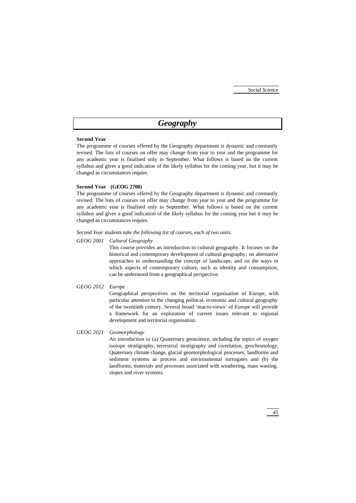# *Geography*

# **Second Year**

The programme of courses offered by the Geography department is dynamic and constantly revised. The lists of courses on offer may change from year to year and the programme for any academic year is finalised only in September. What follows is based on the current syllabus and gives a good indication of the likely syllabus for the coming year, but it may be changed as circumstances require.

# **Second Year (GEOG 2700)**

The programme of courses offered by the Geography department is dynamic and constantly revised. The lists of courses on offer may change from year to year and the programme for any academic year is finalised only in September. What follows is based on the current syllabus and gives a good indication of the likely syllabus for the coming year but it may be changed as circumstances require.

# *Second Year students take the following list of courses, each of two units.*

## *GEOG 2001 Cultural Geography*

This course provides an introduction to cultural geography. It focuses on the historical and contemporary development of cultural geography; on alternative approaches to understanding the concept of landscape, and on the ways in which aspects of contemporary culture, such as identity and consumption, can be understood from a geographical perspective.

# *GEOG 2012 Europe*

Geographical perspectives on the territorial organisation of Europe, with particular attention to the changing political, economic and cultural geography of the twentieth century. Several broad 'macro-views' of Europe will provide a framework for an exploration of current issues relevant to regional development and territorial organisation.

# *GEOG 2021 Geomorphology*

An introduction to (a) Quaternary geoscience, including the topics of oxygen isotope stratigraphy, terrestrial stratigraphy and correlation, geochronology, Quaternary climate change, glacial geomorphological processes, landforms and sediment systems as process and environmental surrogates and (b) the landforms, materials and processes associated with weathering, mass wasting, slopes and river systems.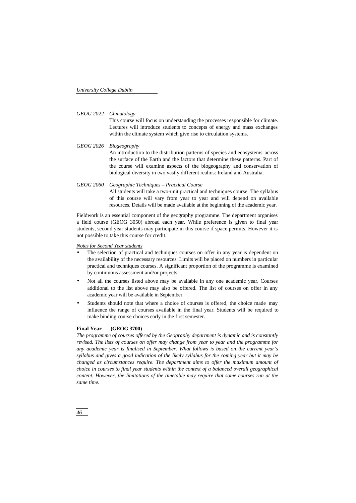## *GEOG 2022 Climatology*

This course will focus on understanding the processes responsible for climate. Lectures will introduce students to concepts of energy and mass exchanges within the climate system which give rise to circulation systems.

- *GEOG 2026 Biogeography* An introduction to the distribution patterns of species and ecosystems across the surface of the Earth and the factors that determine these patterns. Part of the course will examine aspects of the biogeography and conservation of biological diversity in two vastly different realms: Ireland and Australia.
- *GEOG 2060 Geographic Techniques Practical Course* All students will take a two-unit practical and techniques course. The syllabus of this course will vary from year to year and will depend on available resources. Details will be made available at the beginning of the academic year.

Fieldwork is an essential component of the geography programme. The department organises a field course (GEOG 3050) abroad each year. While preference is given to final year students, second year students may participate in this course if space permits. However it is not possible to take this course for credit.

#### *Notes for Second Year students*

- The selection of practical and techniques courses on offer in any year is dependent on the availability of the necessary resources. Limits will be placed on numbers in particular practical and techniques courses. A significant proportion of the programme is examined by continuous assessment and/or projects.
- Not all the courses listed above may be available in any one academic year. Courses additional to the list above may also be offered. The list of courses on offer in any academic year will be available in September.
- Students should note that where a choice of courses is offered, the choice made may influence the range of courses available in the final year. Students will be required to make binding course choices early in the first semester.

### **Final Year (GEOG 3700)**

*The programme of courses offered by the Geography department is dynamic and is constantly revised. The lists of courses on offer may change from year to year and the programme for any academic year is finalised in September. What follows is based on the current year's syllabus and gives a good indication of the likely syllabus for the coming year but it may be changed as circumstances require. The department aims to offer the maximum amount of choice in courses to final year students within the context of a balanced overall geographical content. However, the limitations of the timetable may require that some courses run at the same time.*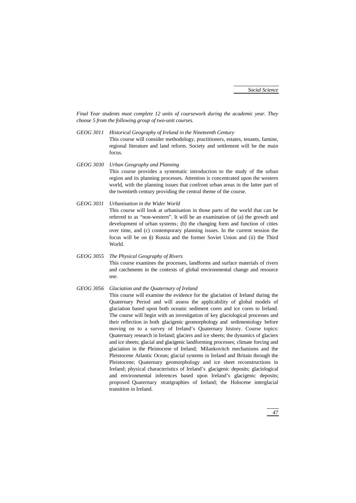*Final Year students must complete 12 units of coursework during the academic year. They choose 5 from the following group of two-unit courses.*

- *GEOG 3011 Historical Geography of Ireland in the Nineteenth Century* This course will consider methodology, practitioners, estates, tenants, famine, regional literature and land reform. Society and settlement will be the main focus.
- *GEOG 3030 Urban Geography and Planning* This course provides a systematic introduction to the study of the urban region and its planning processes. Attention is concentrated upon the western world, with the planning issues that confront urban areas in the latter part of the twentieth century providing the central theme of the course.
- *GEOG 3031 Urbanisation in the Wider World* This course will look at urbanisation in those parts of the world that can be referred to as "non-western". It will be an examination of (a) the growth and development of urban systems; (b) the changing form and function of cities over time, and (c) contemporary planning issues. In the current session the focus will be on (i) Russia and the former Soviet Union and (ii) the Third

World.

*GEOG 3055 The Physical Geography of Rivers* This course examines the processes, landforms and surface materials of rivers and catchments in the contexts of global environmental change and resource use.

# *GEOG 3056 Glaciation and the Quaternary of Ireland* This course will examine the evidence for the glaciation of Ireland during the Quaternary Period and will assess the applicability of global models of glaciation based upon both oceanic sediment cores and ice cores to Ireland. The course will begin with an investigation of key glaciological processes and their reflection in both glacigenic geomorphology and sedimentology before moving on to a survey of Ireland's Quaternary history. Course topics: Quaternary research in Ireland; glaciers and ice sheets; the dynamics of glaciers and ice sheets; glacial and glacigenic landforming processes; climate forcing and glaciation in the Pleistocene of Ireland; Milankovitch mechanisms and the Pleistocene Atlantic Ocean; glacial systems in Ireland and Britain through the Pleistocene; Quaternary geomorphology and ice sheet reconstructions in Ireland; physical characteristics of Ireland's glacigenic deposits; glaciological and environmental inferences based upon Ireland's glacigenic deposits; proposed Quaternary stratigraphies of Ireland; the Holocene interglacial transition in Ireland.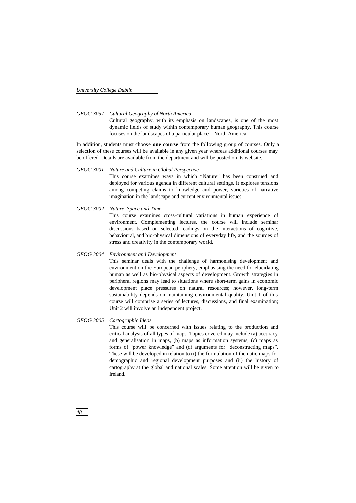*GEOG 3057 Cultural Geography of North America*

Cultural geography, with its emphasis on landscapes, is one of the most dynamic fields of study within contemporary human geography. This course focuses on the landscapes of a particular place – North America.

In addition, students must choose **one course** from the following group of courses. Only a selection of these courses will be available in any given year whereas additional courses may be offered. Details are available from the department and will be posted on its website.

*GEOG 3001 Nature and Culture in Global Perspective*

This course examines ways in which "Nature" has been construed and deployed for various agenda in different cultural settings. It explores tensions among competing claims to knowledge and power, varieties of narrative imagination in the landscape and current environmental issues.

*GEOG 3002 Nature, Space and Time* This course examines cross-cultural variations in human experience of environment. Complementing lectures, the course will include seminar discussions based on selected readings on the interactions of cognitive, behavioural, and bio-physical dimensions of everyday life, and the sources of stress and creativity in the contemporary world.

#### *GEOG 3004 Environment and Development*

This seminar deals with the challenge of harmonising development and environment on the European periphery, emphasising the need for elucidating human as well as bio-physical aspects of development. Growth strategies in peripheral regions may lead to situations where short-term gains in economic development place pressures on natural resources; however, long-term sustainability depends on maintaining environmental quality. Unit 1 of this course will comprise a series of lectures, discussions, and final examination; Unit 2 will involve an independent project.

# *GEOG 3005 Cartographic Ideas*

This course will be concerned with issues relating to the production and critical analysis of all types of maps. Topics covered may include (a) accuracy and generalisation in maps, (b) maps as information systems, (c) maps as forms of "power knowledge" and (d) arguments for "deconstructing maps". These will be developed in relation to (i) the formulation of thematic maps for demographic and regional development purposes and (ii) the history of cartography at the global and national scales. Some attention will be given to Ireland.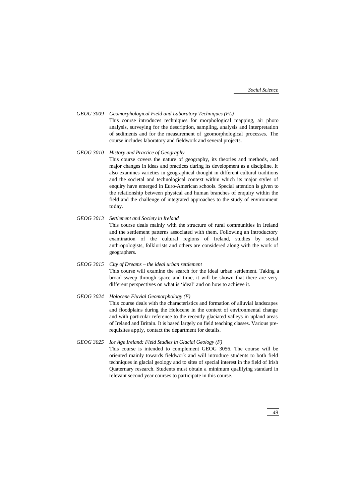# *GEOG 3009 Geomorphological Field and Laboratory Techniques (FL)*

This course introduces techniques for morphological mapping, air photo analysis, surveying for the description, sampling, analysis and interpretation of sediments and for the measurement of geomorphological processes. The course includes laboratory and fieldwork and several projects.

# *GEOG 3010 History and Practice of Geography*

This course covers the nature of geography, its theories and methods, and major changes in ideas and practices during its development as a discipline. It also examines varieties in geographical thought in different cultural traditions and the societal and technological context within which its major styles of enquiry have emerged in Euro-American schools. Special attention is given to the relationship between physical and human branches of enquiry within the field and the challenge of integrated approaches to the study of environment today.

*GEOG 3013 Settlement and Society in Ireland*

This course deals mainly with the structure of rural communities in Ireland and the settlement patterns associated with them. Following an introductory examination of the cultural regions of Ireland, studies by social anthropologists, folklorists and others are considered along with the work of geographers.

*GEOG 3015 City of Dreams – the ideal urban settlement* This course will examine the search for the ideal urban settlement. Taking a broad sweep through space and time, it will be shown that there are very different perspectives on what is 'ideal' and on how to achieve it.

# *GEOG 3024 Holocene Fluvial Geomorphology (F)* This course deals with the characteristics and formation of alluvial landscapes

and floodplains during the Holocene in the context of environmental change and with particular reference to the recently glaciated valleys in upland areas of Ireland and Britain. It is based largely on field teaching classes. Various prerequisites apply, contact the department for details.

# *GEOG 3025 Ice Age Ireland: Field Studies in Glacial Geology (F)*

This course is intended to complement GEOG 3056. The course will be oriented mainly towards fieldwork and will introduce students to both field techniques in glacial geology and to sites of special interest in the field of Irish Quaternary research. Students must obtain a minimum qualifying standard in relevant second year courses to participate in this course.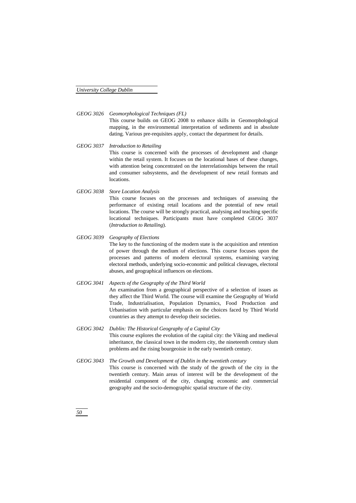*GEOG 3026 Geomorphological Techniques (FL)*

This course builds on GEOG 2008 to enhance skills in Geomorphological mapping, in the environmental interpretation of sediments and in absolute dating. Various pre-requisites apply, contact the department for details.

*GEOG 3037 Introduction to Retailing*

This course is concerned with the processes of development and change within the retail system. It focuses on the locational bases of these changes, with attention being concentrated on the interrelationships between the retail and consumer subsystems, and the development of new retail formats and locations.

*GEOG 3038 Store Location Analysis*

This course focuses on the processes and techniques of assessing the performance of existing retail locations and the potential of new retail locations. The course will be strongly practical, analysing and teaching specific locational techniques. Participants must have completed GEOG 3037 (*Introduction to Retailing*).

- *GEOG 3039 Geography of Elections* The key to the functioning of the modern state is the acquisition and retention of power through the medium of elections. This course focuses upon the processes and patterns of modern electoral systems, examining varying electoral methods, underlying socio-economic and political cleavages, electoral abuses, and geographical influences on elections.
- *GEOG 3041 Aspects of the Geography of the Third World* An examination from a geographical perspective of a selection of issues as they affect the Third World. The course will examine the Geography of World Trade, Industrialisation, Population Dynamics, Food Production and Urbanisation with particular emphasis on the choices faced by Third World countries as they attempt to develop their societies.
- *GEOG 3042 Dublin: The Historical Geography of a Capital City* This course explores the evolution of the capital city: the Viking and medieval inheritance, the classical town in the modern city, the nineteenth century slum problems and the rising bourgeoisie in the early twentieth century.
- *GEOG 3043 The Growth and Development of Dublin in the twentieth century* This course is concerned with the study of the growth of the city in the twentieth century. Main areas of interest will be the development of the residential component of the city, changing economic and commercial geography and the socio-demographic spatial structure of the city.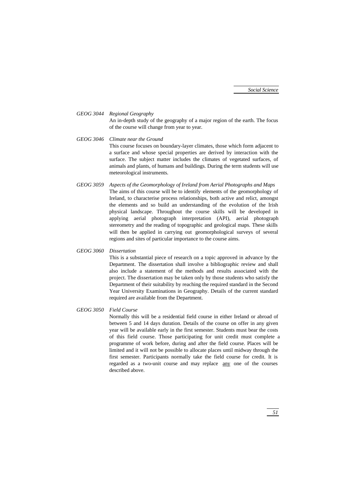*GEOG 3044 Regional Geography* An in-depth study of the geography of a major region of the earth. The focus of the course will change from year to year.

*GEOG 3046 Climate near the Ground* This course focuses on boundary-layer climates, those which form adjacent to a surface and whose special properties are derived by interaction with the surface. The subject matter includes the climates of vegetated surfaces, of animals and plants, of humans and buildings. During the term students will use meteorological instruments.

*GEOG 3059 Aspects of the Geomorphology of Ireland from Aerial Photographs and Maps* The aims of this course will be to identify elements of the geomorphology of Ireland, to characterise process relationships, both active and relict, amongst the elements and so build an understanding of the evolution of the Irish physical landscape. Throughout the course skills will be developed in applying aerial photograph interpretation (API), aerial photograph stereometry and the reading of topographic and geological maps. These skills will then be applied in carrying out geomorphological surveys of several regions and sites of particular importance to the course aims.

#### *GEOG 3060 Dissertation*

This is a substantial piece of research on a topic approved in advance by the Department. The dissertation shall involve a bibliographic review and shall also include a statement of the methods and results associated with the project. The dissertation may be taken only by those students who satisfy the Department of their suitability by reaching the required standard in the Second Year University Examinations in Geography. Details of the current standard required are available from the Department.

## *GEOG 3050 Field Course*

Normally this will be a residential field course in either Ireland or abroad of between 5 and 14 days duration. Details of the course on offer in any given year will be available early in the first semester. Students must bear the costs of this field course. Those participating for unit credit must complete a programme of work before, during and after the field course. Places will be limited and it will not be possible to allocate places until midway through the first semester. Participants normally take the field course for credit. It is regarded as a two-unit course and may replace any one of the courses described above.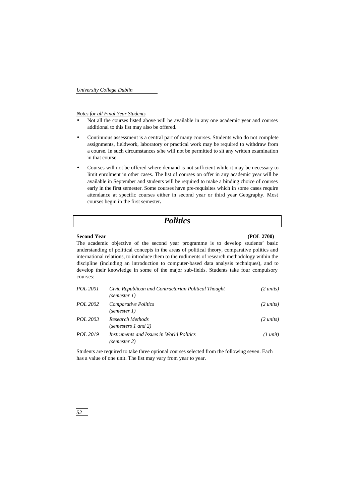*Notes for all Final Year Students*

- Not all the courses listed above will be available in any one academic year and courses additional to this list may also be offered.
- Continuous assessment is a central part of many courses. Students who do not complete assignments, fieldwork, laboratory or practical work may be required to withdraw from a course. In such circumstances s/he will not be permitted to sit any written examination in that course.
- Courses will not be offered where demand is not sufficient while it may be necessary to limit enrolment in other cases. The list of courses on offer in any academic year will be available in September and students will be required to make a binding choice of courses early in the first semester. Some courses have pre-requisites which in some cases require attendance at specific courses either in second year or third year Geography. Most courses begin in the first semester**.**

# *Politics*

#### **Second Year (POL 2700)**

The academic objective of the second year programme is to develop students' basic understanding of political concepts in the areas of political theory, comparative politics and international relations, to introduce them to the rudiments of research methodology within the discipline (including an introduction to computer-based data analysis techniques), and to develop their knowledge in some of the major sub-fields. Students take four compulsory courses:

| <i>POL</i> 2001 | Civic Republican and Contractarian Political Thought<br>(semester 1) | $(2 \text{ units})$ |
|-----------------|----------------------------------------------------------------------|---------------------|
| <i>POL</i> 2002 | <b>Comparative Politics</b><br>(semester 1)                          | $(2 \text{ units})$ |
| POL 2003        | Research Methods<br>(semesters 1 and 2)                              | $(2 \text{ units})$ |
| <i>POL</i> 2019 | Instruments and Issues in World Politics<br>(semester 2)             | $(1 \text{ unit})$  |

Students are required to take three optional courses selected from the following seven. Each has a value of one unit. The list may vary from year to year.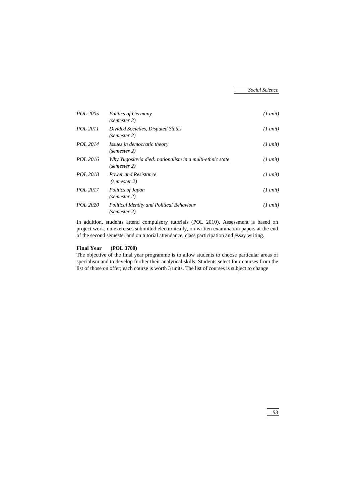| POL 2005 | Politics of Germany<br>(semester 2)                                      | $(1 \text{ unit})$ |
|----------|--------------------------------------------------------------------------|--------------------|
| POL 2011 | Divided Societies, Disputed States<br>(semester 2)                       | $(1 \text{ unit})$ |
| POL 2014 | Issues in democratic theory<br>(semester 2)                              | $(1 \text{ unit})$ |
| POL 2016 | Why Yugoslavia died: nationalism in a multi-ethnic state<br>(semester 2) | $(1 \text{ unit})$ |
| POL 2018 | Power and Resistance<br>(semester 2)                                     | $(1 \text{ unit})$ |
| POL 2017 | Politics of Japan<br>(semester 2)                                        | $(1 \text{ unit})$ |
| POL 2020 | Political Identity and Political Behaviour<br>(semester 2)               | $(1 \text{ unit})$ |

In addition, students attend compulsory tutorials (POL 2010). Assessment is based on project work, on exercises submitted electronically, on written examination papers at the end of the second semester and on tutorial attendance, class participation and essay writing.

## **Final Year (POL 3700)**

The objective of the final year programme is to allow students to choose particular areas of specialism and to develop further their analytical skills. Students select four courses from the list of those on offer; each course is worth 3 units. The list of courses is subject to change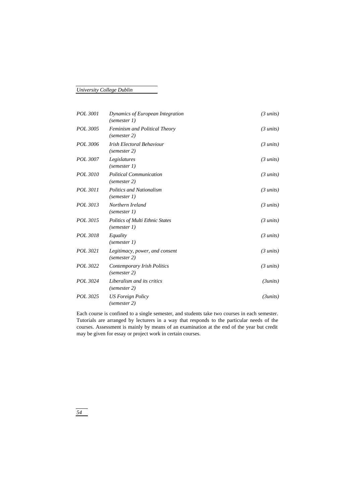| POL 3001 | Dynamics of European Integration<br>(semester 1)     | $(3 \text{ units})$ |
|----------|------------------------------------------------------|---------------------|
| POL 3005 | <b>Feminism and Political Theory</b><br>(semester 2) | $(3 \text{ units})$ |
| POL 3006 | Irish Electoral Behaviour<br>(semester 2)            | $(3 \text{ units})$ |
| POL 3007 | Legislatures<br>(semester 1)                         | $(3 \text{ units})$ |
| POL 3010 | <b>Political Communication</b><br>(semester 2)       | $(3 \text{ units})$ |
| POL 3011 | <b>Politics and Nationalism</b><br>(semester 1)      | $(3 \text{ units})$ |
| POL 3013 | Northern Ireland<br>(semester 1)                     | $(3 \text{ units})$ |
| POL 3015 | Politics of Multi Ethnic States<br>(semester 1)      | $(3 \text{ units})$ |
| POL 3018 | Equality<br>(semester 1)                             | $(3 \text{ units})$ |
| POL 3021 | Legitimacy, power, and consent<br>(semester 2)       | $(3 \text{ units})$ |
| POL 3022 | Contemporary Irish Politics<br>(semester 2)          | $(3 \text{ units})$ |
| POL 3024 | Liberalism and its critics<br>(semester 2)           | (3 units)           |
| POL 3025 | <b>US Foreign Policy</b><br>(semester 2)             | (3 units)           |

Each course is confined to a single semester, and students take two courses in each semester. Tutorials are arranged by lecturers in a way that responds to the particular needs of the courses. Assessment is mainly by means of an examination at the end of the year but credit may be given for essay or project work in certain courses.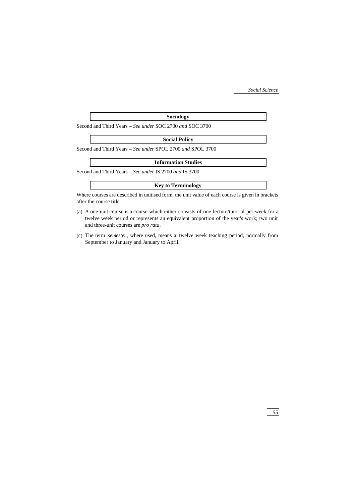#### **Sociology**

Second and Third Years – *See under* SOC 2700 *and* SOC 3700

# **Social Policy**

Second and Third Years – *See under* SPOL 2700 *and* SPOL 3700

#### **Information Studies**

Second and Third Years – *See under* IS 2700 *and* IS 3700

## **Key to Terminology**

Where courses are described in unitised form, the unit value of each course is given in brackets after the course title.

- (a) A one-unit course is a course which either consists of one lecture/tutorial per week for a twelve week period or represents an equivalent proportion of the year's work; two unit and three-unit courses are *pro rata*.
- (c) The term *semester*, where used, means a twelve week teaching period, normally from September to January and January to April.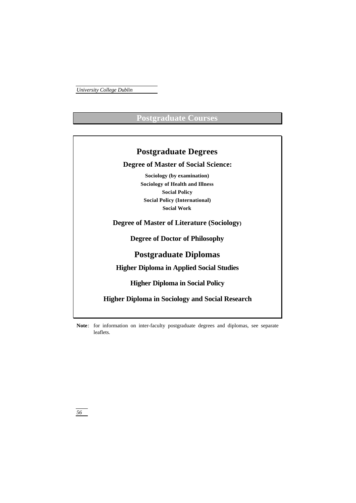# **Postgraduate Courses**

| <b>Postgraduate Degrees</b>                            |  |
|--------------------------------------------------------|--|
| <b>Degree of Master of Social Science:</b>             |  |
| Sociology (by examination)                             |  |
| <b>Sociology of Health and Illness</b>                 |  |
| <b>Social Policy</b>                                   |  |
| <b>Social Policy (International)</b>                   |  |
| <b>Social Work</b>                                     |  |
| <b>Degree of Master of Literature (Sociology)</b>      |  |
| <b>Degree of Doctor of Philosophy</b>                  |  |
| <b>Postgraduate Diplomas</b>                           |  |
| <b>Higher Diploma in Applied Social Studies</b>        |  |
| <b>Higher Diploma in Social Policy</b>                 |  |
| <b>Higher Diploma in Sociology and Social Research</b> |  |

**Note**: for information on inter-faculty postgraduate degrees and diplomas, see separate leaflets.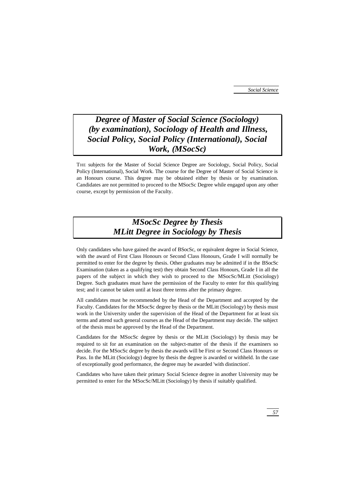# *Degree of Master of Social Science (Sociology) (by examination), Sociology of Health and Illness, Social Policy, Social Policy (International), Social Work, (MSocSc)*

THE subjects for the Master of Social Science Degree are Sociology, Social Policy, Social Policy (International), Social Work. The course for the Degree of Master of Social Science is an Honours course. This degree may be obtained either by thesis or by examination. Candidates are not permitted to proceed to the MSocSc Degree while engaged upon any other course, except by permission of the Faculty.

# *MSocSc Degree by Thesis MLitt Degree in Sociology by Thesis*

Only candidates who have gained the award of BSocSc, or equivalent degree in Social Science, with the award of First Class Honours or Second Class Honours, Grade I will normally be permitted to enter for the degree by thesis. Other graduates may be admitted if in the BSocSc Examination (taken as a qualifying test) they obtain Second Class Honours, Grade I in all the papers of the subject in which they wish to proceed to the MSocSc/MLitt (Sociology) Degree. Such graduates must have the permission of the Faculty to enter for this qualifying test; and it cannot be taken until at least three terms after the primary degree.

All candidates must be recommended by the Head of the Department and accepted by the Faculty. Candidates for the MSocSc degree by thesis or the MLitt (Sociology) by thesis must work in the University under the supervision of the Head of the Department for at least six terms and attend such general courses as the Head of the Department may decide. The subject of the thesis must be approved by the Head of the Department.

Candidates for the MSocSc degree by thesis or the MLitt (Sociology) by thesis may be required to sit for an examination on the subject-matter of the thesis if the examiners so decide. For the MSocSc degree by thesis the awards will be First or Second Class Honours or Pass. In the MLitt (Sociology) degree by thesis the degree is awarded or withheld. In the case of exceptionally good performance, the degree may be awarded 'with distinction'.

Candidates who have taken their primary Social Science degree in another University may be permitted to enter for the MSocSc/MLitt (Sociology) by thesis if suitably qualified.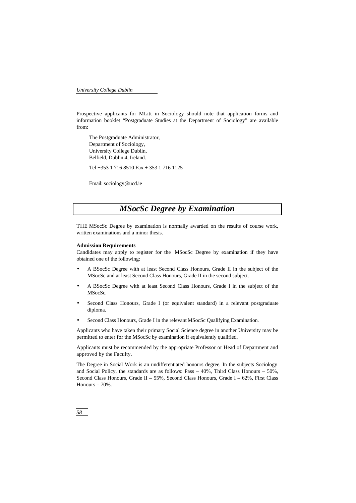Prospective applicants for MLitt in Sociology should note that application forms and information booklet "Postgraduate Studies at the Department of Sociology" are available from:

The Postgraduate Administrator, Department of Sociology, University College Dublin, Belfield, Dublin 4, Ireland.

Tel +353 1 716 8510 Fax + 353 1 716 1125

Email: sociology@ucd.ie

# *MSocSc Degree by Examination*

THE MSocSc Degree by examination is normally awarded on the results of course work, written examinations and a minor thesis.

#### **Admission Requirements**

Candidates may apply to register for the MSocSc Degree by examination if they have obtained one of the following:

- A BSocSc Degree with at least Second Class Honours, Grade II in the subject of the MSocSc and at least Second Class Honours, Grade II in the second subject.
- A BSocSc Degree with at least Second Class Honours, Grade I in the subject of the MSocSc.
- Second Class Honours, Grade I (or equivalent standard) in a relevant postgraduate diploma.
- Second Class Honours, Grade I in the relevant MSocSc Qualifying Examination.

Applicants who have taken their primary Social Science degree in another University may be permitted to enter for the MSocSc by examination if equivalently qualified.

Applicants must be recommended by the appropriate Professor or Head of Department and approved by the Faculty.

The Degree in Social Work is an undifferentiated honours degree. In the subjects Sociology and Social Policy, the standards are as follows: Pass  $-40\%$ , Third Class Honours  $-50\%$ , Second Class Honours, Grade II – 55%, Second Class Honours, Grade I – 62%, First Class Honours – 70%.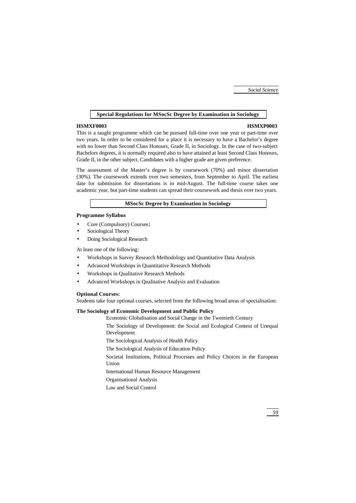# **Special Regulations for MSocSc Degree by Examination in Sociology**

#### **HSMXF0003 HSMXP0003**

This is a taught programme which can be pursued full-time over one year or part-time over two years. In order to be considered for a place it is necessary to have a Bachelor's degree with no lower than Second Class Honours, Grade II, in Sociology. In the case of two-subject Bachelors degrees, it is normally required also to have attained at least Second Class Honours, Grade II, in the other subject. Candidates with a higher grade are given preference.

The assessment of the Master's degree is by coursework (70%) and minor dissertation (30%). The coursework extends over two semesters, from September to April. The earliest date for submission for dissertations is in mid-August. The full-time course takes one academic year, but part-time students can spread their coursework and thesis over two years.

#### **MSocSc Degree by Examination in Sociology**

## **Programme Syllabus**

- Core (Compulsory) Courses**:**
- Sociological Theory
- Doing Sociological Research

At least one of the following:

- Workshops in Survey Research Methodology and Quantitative Data Analysis
- Advanced Workshops in Quantitative Research Methods
- Workshops in Qualitative Research Methods
- Advanced Workshops in Qualitative Analysis and Evaluation

#### **Optional Courses:**

Students take four optional courses, selected from the following broad areas of specialisation:

## **The Sociology of Economic Development and Public Policy**

Economic Globalisation and Social Change in the Twentieth Century

The Sociology of Development: the Social and Ecological Context of Unequal Development

The Sociological Analysis of Health Policy

The Sociological Analysis of Education Policy

Societal Institutions, Political Processes and Policy Choices in the European Union

International Human Resource Management

Organisational Analysis

Law and Social Control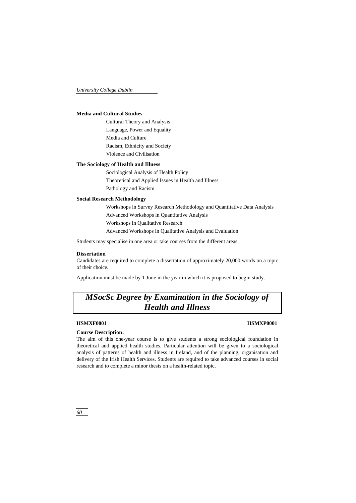## **Media and Cultural Studies**

Cultural Theory and Analysis Language, Power and Equality Media and Culture Racism, Ethnicity and Society Violence and Civilisation

# **The Sociology of Health and Illness**

Sociological Analysis of Health Policy Theoretical and Applied Issues in Health and Illness Pathology and Racism

# **Social Research Methodology**

Workshops in Survey Research Methodology and Quantitative Data Analysis Advanced Workshops in Quantitative Analysis Workshops in Qualitative Research Advanced Workshops in Qualitative Analysis and Evaluation

Students may specialise in one area or take courses from the different areas.

## **Dissertation**

Candidates are required to complete a dissertation of approximately 20,000 words on a topic of their choice.

Application must be made by 1 June in the year in which it is proposed to begin study.

# *MSocSc Degree by Examination in the Sociology of Health and Illness*

## **HSMXF0001 HSMXP0001**

#### **Course Description:**

The aim of this one-year course is to give students a strong sociological foundation in theoretical and applied health studies. Particular attention will be given to a sociological analysis of patterns of health and illness in Ireland, and of the planning, organisation and delivery of the Irish Health Services. Students are required to take advanced courses in social research and to complete a minor thesis on a health-related topic.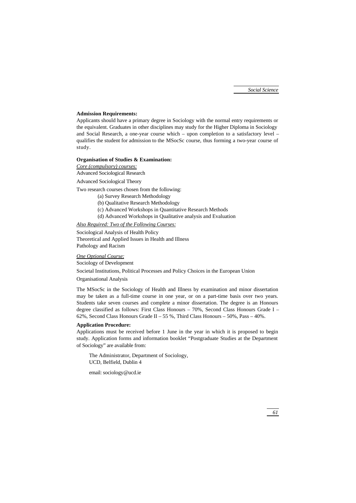# **Admission Requirements:**

Applicants should have a primary degree in Sociology with the normal entry requirements or the equivalent. Graduates in other disciplines may study for the Higher Diploma in Sociology and Social Research, a one-year course which – upon completion to a satisfactory level – qualifies the student for admission to the MSocSc course, thus forming a two-year course of study.

# **Organisation of Studies & Examination:**

*Core (compulsory) courses:*

Advanced Sociological Research

Advanced Sociological Theory

Two research courses chosen from the following:

- (a) Survey Research Methodology
- (b) Qualitative Research Methodology
- (c) Advanced Workshops in Quantitative Research Methods
- (d) Advanced Workshops in Qualitative analysis and Evaluation

# *Also Required: Two of the Following Courses:*

Sociological Analysis of Health Policy Theoretical and Applied Issues in Health and Illness Pathology and Racism

#### *One Optional Course:*

Sociology of Development

Societal Institutions, Political Processes and Policy Choices in the European Union

# Organisational Analysis

The MSocSc in the Sociology of Health and Illness by examination and minor dissertation may be taken as a full-time course in one year, or on a part-time basis over two years. Students take seven courses and complete a minor dissertation. The degree is an Honours degree classified as follows: First Class Honours – 70%, Second Class Honours Grade I – 62%, Second Class Honours Grade II – 55 %, Third Class Honours – 50%, Pass – 40%.

# **Application Procedure:**

Applications must be received before 1 June in the year in which it is proposed to begin study. Application forms and information booklet "Postgraduate Studies at the Department of Sociology" are available from:

The Administrator, Department of Sociology, UCD, Belfield, Dublin 4

email: sociology@ucd.ie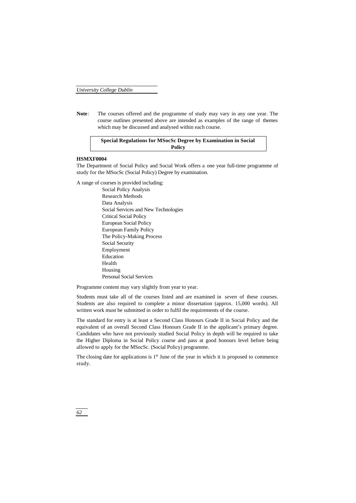**Note**: The courses offered and the programme of study may vary in any one year. The course outlines presented above are intended as examples of the range of themes which may be discussed and analysed within each course.

# **Special Regulations for MSocSc Degree by Examination in Social Policy**

## **HSMXF0004**

The Department of Social Policy and Social Work offers a one year full-time programme of study for the MSocSc (Social Policy) Degree by examination.

A range of courses is provided including:

Social Policy Analysis Research Methods Data Analysis Social Services and New Technologies Critical Social Policy European Social Policy European Family Policy The Policy-Making Process Social Security Employment Education Health Housing Personal Social Services

Programme content may vary slightly from year to year.

Students must take all of the courses listed and are examined in *seven* of these courses. Students are also required to complete a minor dissertation (approx. 15,000 words). All written work must be submitted in order to fulfil the requirements of the course.

The standard for entry is at least a Second Class Honours Grade II in Social Policy and the equivalent of an overall Second Class Honours Grade II in the applicant's primary degree. Candidates who have not previously studied Social Policy in depth will be required to take the Higher Diploma in Social Policy course and pass at good honours level before being allowed to apply for the MSocSc. (Social Policy) programme.

The closing date for applications is  $1<sup>st</sup>$  June of the year in which it is proposed to commence study.

*62*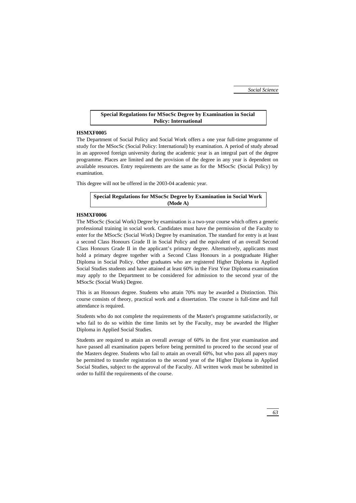# **Special Regulations for MSocSc Degree by Examination in Social Policy: International**

#### **HSMXF0005**

The Department of Social Policy and Social Work offers a one year full-time programme of study for the MSocSc (Social Policy: International) by examination. A period of study abroad in an approved foreign university during the academic year is an integral part of the degree programme. Places are limited and the provision of the degree in any year is dependent on available resources. Entry requirements are the same as for the MSocSc (Social Policy) by examination.

This degree will not be offered in the 2003-04 academic year.

**Special Regulations for MSocSc Degree by Examination in Social Work (Mode A)**

#### **HSMXF0006**

The MSocSc (Social Work) Degree by examination is a two-year course which offers a generic professional training in social work. Candidates must have the permission of the Faculty to enter for the MSocSc (Social Work) Degree by examination. The standard for entry is at least a second Class Honours Grade II in Social Policy and the equivalent of an overall Second Class Honours Grade II in the applicant's primary degree. Alternatively, applicants must hold a primary degree together with a Second Class Honours in a postgraduate Higher Diploma in Social Policy. Other graduates who are registered Higher Diploma in Applied Social Studies students and have attained at least 60% in the First Year Diploma examination may apply to the Department to be considered for admission to the second year of the MSocSc (Social Work) Degree.

This is an Honours degree. Students who attain 70% may be awarded a Distinction. This course consists of theory, practical work and a dissertation. The course is full-time and full attendance is required.

Students who do not complete the requirements of the Master's programme satisfactorily, or who fail to do so within the time limits set by the Faculty, may be awarded the Higher Diploma in Applied Social Studies.

Students are required to attain an overall average of 60% in the first year examination and have passed all examination papers before being permitted to proceed to the second year of the Masters degree. Students who fail to attain an overall 60%, but who pass all papers may be permitted to transfer registration to the second year of the Higher Diploma in Applied Social Studies, subject to the approval of the Faculty. All written work must be submitted in order to fulfil the requirements of the course.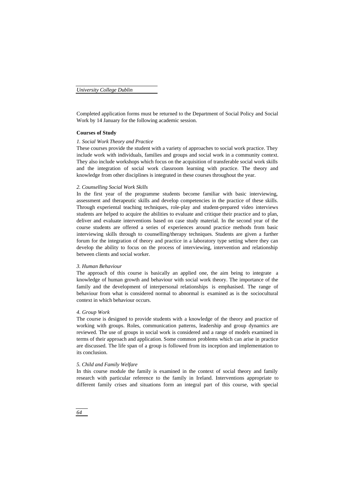Completed application forms must be returned to the Department of Social Policy and Social Work by 14 January for the following academic session.

## **Courses of Study**

#### *1. Social Work Theory and Practice*

These courses provide the student with a variety of approaches to social work practice. They include work with individuals, families and groups and social work in a community context. They also include workshops which focus on the acquisition of transferable social work skills and the integration of social work classroom learning with practice. The theory and knowledge from other disciplines is integrated in these courses throughout the year.

#### *2. Counselling Social Work Skills*

In the first year of the programme students become familiar with basic interviewing, assessment and therapeutic skills and develop competencies in the practice of these skills. Through experiental teaching techniques, role-play and student-prepared video interviews students are helped to acquire the abilities to evaluate and critique their practice and to plan, deliver and evaluate interventions based on case study material. In the second year of the course students are offered a series of experiences around practice methods from basic interviewing skills through to counselling/therapy techniques. Students are given a further forum for the integration of theory and practice in a laboratory type setting where they can develop the ability to focus on the process of interviewing, intervention and relationship between clients and social worker.

#### *3. Human Behaviour*

The approach of this course is basically an applied one, the aim being to integrate a knowledge of human growth and behaviour with social work theory. The importance of the family and the development of interpersonal relationships is emphasised. The range of behaviour from what is considered normal to abnormal is examined as is the sociocultural context in which behaviour occurs.

## *4. Group Work*

The course is designed to provide students with a knowledge of the theory and practice of working with groups. Roles, communication patterns, leadership and group dynamics are reviewed. The use of groups in social work is considered and a range of models examined in terms of their approach and application. Some common problems which can arise in practice are discussed. The life span of a group is followed from its inception and implementation to its conclusion.

#### *5. Child and Family Welfare*

In this course module the family is examined in the context of social theory and family research with particular reference to the family in Ireland. Interventions appropriate to different family crises and situations form an integral part of this course, with special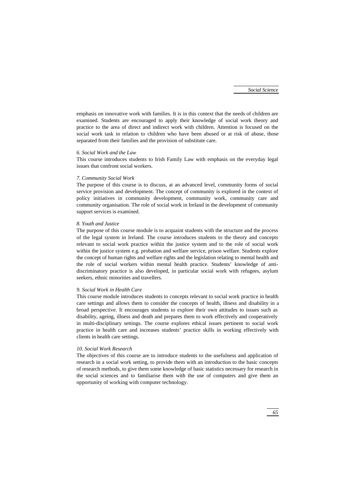emphasis on innovative work with families. It is in this context that the needs of children are examined. Students are encouraged to apply their knowledge of social work theory and practice to the area of direct and indirect work with children. Attention is focused on the social work task in relation to children who have been abused or at risk of abuse, those separated from their families and the provision of substitute care.

## *6. Social Work and the Law*

This course introduces students to Irish Family Law with emphasis on the everyday legal issues that confront social workers.

#### *7. Community Social Work*

The purpose of this course is to discuss, at an advanced level, community forms of social service provision and development. The concept of community is explored in the context of policy initiatives in community development, community work, community care and community organisation. The role of social work in Ireland in the development of community support services is examined.

#### *8. Youth and Justice*

The purpose of this course module is to acquaint students with the structure and the process of the legal system in Ireland. The course introduces students to the theory and concepts relevant to social work practice within the justice system and to the role of social work within the justice system e.g. probation and welfare service, prison welfare. Students explore the concept of human rights and welfare rights and the legislation relating to mental health and the role of social workers within mental health practice. Students' knowledge of antidiscriminatory practice is also developed, in particular social work with refugees, asylum seekers, ethnic minorities and travellers.

#### *9. Social Work in Health Care*

This course module introduces students to concepts relevant to social work practice in health care settings and allows them to consider the concepts of health, illness and disability in a broad perspective. It encourages students to explore their own attitudes to issues such as disability, ageing, illness and death and prepares them to work effectively and cooperatively in multi-disciplinary settings. The course explores ethical issues pertinent to social work practice in health care and increases students' practice skills in working effectively with clients in health care settings.

### *10. Social Work Research*

The objectives of this course are to introduce students to the usefulness and application of research in a social work setting, to provide them with an introduction to the basic concepts of research methods, to give them some knowledge of basic statistics necessary for research in the social sciences and to familiarise them with the use of computers and give them an opportunity of working with computer technology.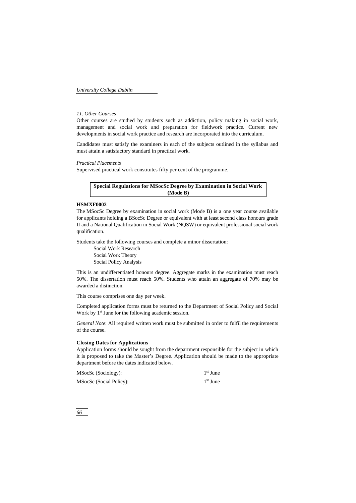## *11. Other Courses*

Other courses are studied by students such as addiction, policy making in social work, management and social work and preparation for fieldwork practice. Current new developments in social work practice and research are incorporated into the curriculum.

Candidates must satisfy the examiners in each of the subjects outlined in the syllabus and must attain a satisfactory standard in practical work.

*Practical Placements*

Supervised practical work constitutes fifty per cent of the programme.

# **Special Regulations for MSocSc Degree by Examination in Social Work (Mode B)**

#### **HSMXF0002**

The MSocSc Degree by examination in social work (Mode B) is a one year course available for applicants holding a BSocSc Degree or equivalent with at least second class honours grade II and a National Qualification in Social Work (NQSW) or equivalent professional social work qualification.

Students take the following courses and complete a minor dissertation:

Social Work Research Social Work Theory Social Policy Analysis

This is an undifferentiated honours degree. Aggregate marks in the examination must reach 50%. The dissertation must reach 50%. Students who attain an aggregate of 70% may be awarded a distinction.

This course comprises one day per week.

Completed application forms must be returned to the Department of Social Policy and Social Work by  $1<sup>st</sup>$  June for the following academic session.

*General Note*: All required written work must be submitted in order to fulfil the requirements of the course.

## **Closing Dates for Applications**

Application forms should be sought from the department responsible for the subject in which it is proposed to take the Master's Degree. Application should be made to the appropriate department before the dates indicated below.

| MSocSc (Sociology):     | 1 <sup>st</sup> June |
|-------------------------|----------------------|
| MSocSc (Social Policy): | $1st$ June           |

*66*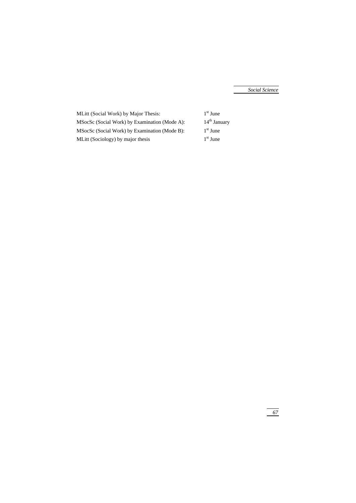MLitt (Social Work) by Major Thesis: MSocSc (Social Work) by Examination (Mode A): 14<sup>th</sup> January MSocSc (Social Work) by Examination (Mode B): 1 MLitt (Sociology) by major thesis

 $1^{\rm st}$ June  $1<sup>st</sup>$  June  $1<sup>st</sup>$  June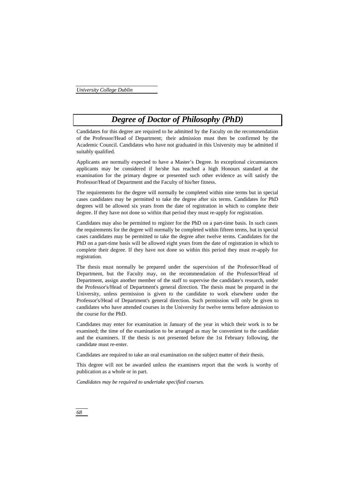# *Degree of Doctor of Philosophy (PhD)*

Candidates for this degree are required to be admitted by the Faculty on the recommendation of the Professor/Head of Department; their admission must then be confirmed by the Academic Council. Candidates who have not graduated in this University may be admitted if suitably qualified.

Applicants are normally expected to have a Master's Degree. In exceptional circumstances applicants may be considered if he/she has reached a high Honours standard at the examination for the primary degree or presented such other evidence as will satisfy the Professor/Head of Department and the Faculty of his/her fitness.

The requirements for the degree will normally be completed within nine terms but in special cases candidates may be permitted to take the degree after six terms. Candidates for PhD degrees will be allowed six years from the date of registration in which to complete their degree. If they have not done so within that period they must re-apply for registration.

Candidates may also be permitted to register for the PhD on a part-time basis. In such cases the requirements for the degree will normally be completed within fifteen terms, but in special cases candidates may be permitted to take the degree after twelve terms. Candidates for the PhD on a part-time basis will be allowed eight years from the date of registration in which to complete their degree. If they have not done so within this period they must re-apply for registration.

The thesis must normally be prepared under the supervision of the Professor/Head of Department, but the Faculty may, on the recommendation of the Professor/Head of Department, assign another member of the staff to supervise the candidate's research, under the Professor's/Head of Department's general direction. The thesis must be prepared in the University, unless permission is given to the candidate to work elsewhere under the Professor's/Head of Department's general direction. Such permission will only be given to candidates who have attended courses in the University for twelve terms before admission to the course for the PhD.

Candidates may enter for examination in January of the year in which their work is to be examined; the time of the examination to be arranged as may be convenient to the candidate and the examiners. If the thesis is not presented before the 1st February following, the candidate must re-enter.

Candidates are required to take an oral examination on the subject matter of their thesis.

This degree will not be awarded unless the examiners report that the work is worthy of publication as a whole or in part.

*Candidates may be required to undertake specified courses.*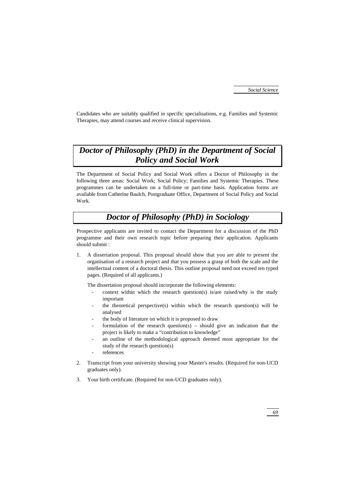Candidates who are suitably qualified in specific specialisations, e.g. Families and Systemic Therapies, may attend courses and receive clinical supervision.

# *Doctor of Philosophy (PhD) in the Department of Social Policy and Social Work*

The Department of Social Policy and Social Work offers a Doctor of Philosophy in the following three areas: Social Work; Social Policy; Families and Systemic Therapies. These programmes can be undertaken on a full-time or part-time basis. Application forms are available from Catherine Baulch, Postgraduate Office, Department of Social Policy and Social Work.

# *Doctor of Philosophy (PhD) in Sociology*

Prospective applicants are invited to contact the Department for a discussion of the PhD programme and their own research topic before preparing their application. Applicants should submit :

1. A dissertation proposal. This proposal should show that you are able to present the organisation of a research project and that you possess a grasp of both the scale and the intellectual content of a doctoral thesis. This outline proposal need not exceed ten typed pages. (Required of all applicants.)

The dissertation proposal should incorporate the following elements:

- context within which the research question(s) is/are raised/why is the study important
- the theoretical perspective(s) within which the research question(s) will be analysed
- the body of literature on which it is proposed to draw
- formulation of the research question(s) should give an indication that the project is likely to make a "contribution to knowledge"
- an outline of the methodological approach deemed most appropriate for the study of the research question(s)
- references
- 2. Transcript from your university showing your Master's results. (Required for non-UCD graduates only).
- 3. Your birth certificate. (Required for non-UCD graduates only).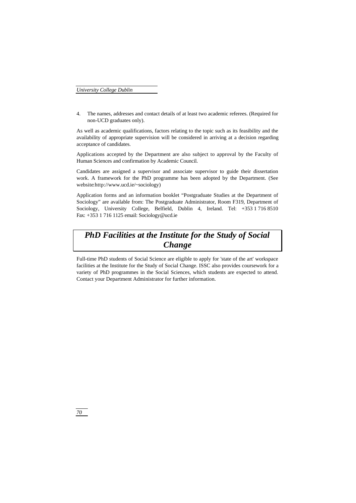4. The names, addresses and contact details of at least two academic referees. (Required for non-UCD graduates only).

As well as academic qualifications, factors relating to the topic such as its feasibility and the availability of appropriate supervision will be considered in arriving at a decision regarding acceptance of candidates.

Applications accepted by the Department are also subject to approval by the Faculty of Human Sciences and confirmation by Academic Council.

Candidates are assigned a supervisor and associate supervisor to guide their dissertation work. A framework for the PhD programme has been adopted by the Department. (See website:http://www.ucd.ie/~sociology)

Application forms and an information booklet "Postgraduate Studies at the Department of Sociology" are available from: The Postgraduate Administrator, Room F319, Department of Sociology, University College, Belfield, Dublin 4, Ireland. Tel: +353 1 716 8510 Fax: +353 1 716 1125 email: Sociology@ucd.ie

# *PhD Facilities at the Institute for the Study of Social Change*

Full-time PhD students of Social Science are eligible to apply for 'state of the art' workspace facilities at the Institute for the Study of Social Change. ISSC also provides coursework for a variety of PhD programmes in the Social Sciences, which students are expected to attend. Contact your Department Administrator for further information.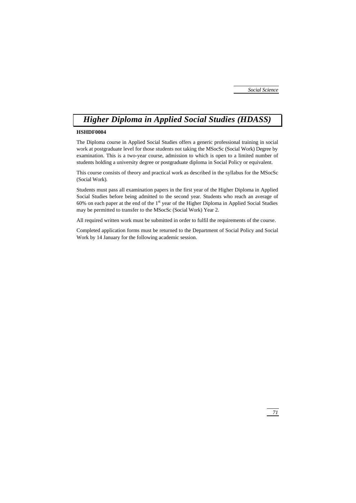# *Higher Diploma in Applied Social Studies (HDASS)*

# **HSHDF0004**

The Diploma course in Applied Social Studies offers a generic professional training in social work at postgraduate level for those students not taking the MSocSc (Social Work) Degree by examination. This is a two-year course, admission to which is open to a limited number of students holding a university degree or postgraduate diploma in Social Policy or equivalent.

This course consists of theory and practical work as described in the syllabus for the MSocSc (Social Work).

Students must pass all examination papers in the first year of the Higher Diploma in Applied Social Studies before being admitted to the second year. Students who reach an average of 60% on each paper at the end of the 1st year of the Higher Diploma in Applied Social Studies may be permitted to transfer to the MSocSc (Social Work) Year 2.

All required written work must be submitted in order to fulfil the requirements of the course.

Completed application forms must be returned to the Department of Social Policy and Social Work by 14 January for the following academic session.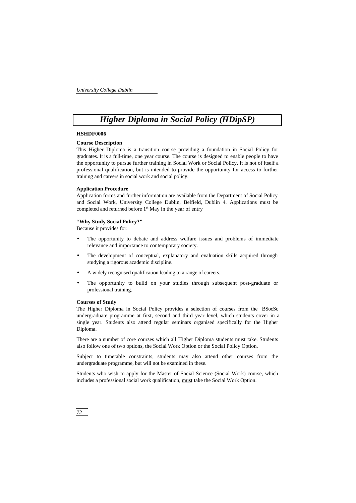# *Higher Diploma in Social Policy (HDipSP)*

#### **HSHDF0006**

## **Course Description**

This Higher Diploma is a transition course providing a foundation in Social Policy for graduates. It is a full-time, one year course. The course is designed to enable people to have the opportunity to pursue further training in Social Work or Social Policy. It is not of itself a professional qualification, but is intended to provide the opportunity for access to further training and careers in social work and social policy.

#### **Application Procedure**

Application forms and further information are available from the Department of Social Policy and Social Work, University College Dublin, Belfield, Dublin 4. Applications must be completed and returned before  $1<sup>st</sup>$  May in the year of entry

#### **"Why Study Social Policy?"**

Because it provides for:

- The opportunity to debate and address welfare issues and problems of immediate relevance and importance to contemporary society.
- The development of conceptual, explanatory and evaluation skills acquired through studying a rigorous academic discipline.
- A widely recognised qualification leading to a range of careers.
- The opportunity to build on your studies through subsequent post-graduate or professional training.

#### **Courses of Study**

The Higher Diploma in Social Policy provides a selection of courses from the BSocSc undergraduate programme at first, second and third year level, which students cover in a single year. Students also attend regular seminars organised specifically for the Higher Diploma.

There are a number of core courses which all Higher Diploma students must take. Students also follow one of two options, the Social Work Option or the Social Policy Option.

Subject to timetable constraints, students may also attend other courses from the undergraduate programme, but will not be examined in these.

Students who wish to apply for the Master of Social Science (Social Work) course, which includes a professional social work qualification, must take the Social Work Option.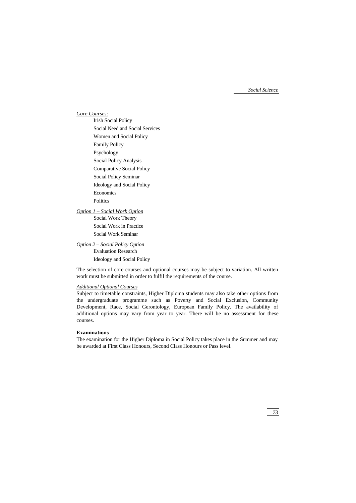*Social Science*

# *Core Courses:*

Irish Social Policy Social Need and Social Services Women and Social Policy Family Policy Psychology Social Policy Analysis Comparative Social Policy Social Policy Seminar Ideology and Social Policy Economics **Politics** 

# *Option 1 – Social Work Option*

Social Work Theory Social Work in Practice Social Work Seminar

# *Option 2 – Social Policy Option*

Evaluation Research Ideology and Social Policy

The selection of core courses and optional courses may be subject to variation. All written work must be submitted in order to fulfil the requirements of the course.

## *Additional Optional Courses*

Subject to timetable constraints, Higher Diploma students may also take other options from the undergraduate programme such as Poverty and Social Exclusion, Community Development, Race, Social Gerontology, European Family Policy. The availability of additional options may vary from year to year. There will be no assessment for these courses.

## **Examinations**

The examination for the Higher Diploma in Social Policy takes place in the Summer and may be awarded at First Class Honours, Second Class Honours or Pass level.